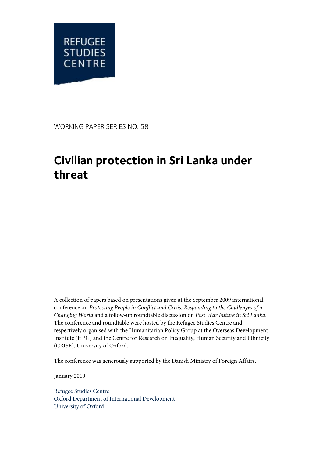

WORKING PAPER SERIES NO. 58

# **Civilian protection in Sri Lanka under threat**

A collection of papers based on presentations given at the September 2009 international conference on *Protecting People in Conflict and Crisis: Responding to the Challenges of a Changing World* and a follow-up roundtable discussion on *Post War Future in Sri Lanka*. The conference and roundtable were hosted by the Refugee Studies Centre and respectively organised with the Humanitarian Policy Group at the Overseas Development Institute (HPG) and the Centre for Research on Inequality, Human Security and Ethnicity (CRISE), University of Oxford.

The conference was generously supported by the Danish Ministry of Foreign Affairs.

January 2010

Refugee Studies Centre Oxford Department of International Development University of Oxford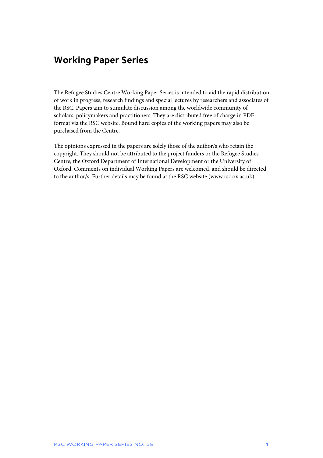# **Working Paper Series**

The Refugee Studies Centre Working Paper Series is intended to aid the rapid distribution of work in progress, research findings and special lectures by researchers and associates of the RSC. Papers aim to stimulate discussion among the worldwide community of scholars, policymakers and practitioners. They are distributed free of charge in PDF format via the RSC website. Bound hard copies of the working papers may also be purchased from the Centre.

The opinions expressed in the papers are solely those of the author/s who retain the copyright. They should not be attributed to the project funders or the Refugee Studies Centre, the Oxford Department of International Development or the University of Oxford. Comments on individual Working Papers are welcomed, and should be directed to the author/s. Further details may be found at the RSC website (www.rsc.ox.ac.uk).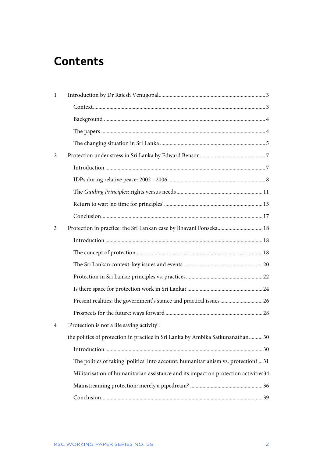# **Contents**

| 1 |                                                                                     |
|---|-------------------------------------------------------------------------------------|
|   |                                                                                     |
|   |                                                                                     |
|   |                                                                                     |
|   |                                                                                     |
| 2 |                                                                                     |
|   |                                                                                     |
|   |                                                                                     |
|   |                                                                                     |
|   |                                                                                     |
|   |                                                                                     |
| 3 | Protection in practice: the Sri Lankan case by Bhavani Fonseka 18                   |
|   |                                                                                     |
|   |                                                                                     |
|   |                                                                                     |
|   |                                                                                     |
|   |                                                                                     |
|   |                                                                                     |
|   |                                                                                     |
| 4 | 'Protection is not a life saving activity':                                         |
|   | the politics of protection in practice in Sri Lanka by Ambika Satkunanathan 30      |
|   |                                                                                     |
|   | The politics of taking 'politics' into account: humanitarianism vs. protection?31   |
|   | Militarisation of humanitarian assistance and its impact on protection activities34 |
|   |                                                                                     |
|   |                                                                                     |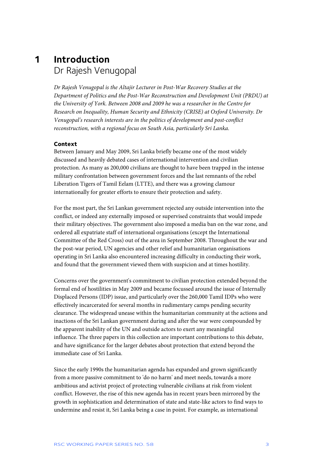# **1 Introduction**  Dr Rajesh Venugopal

*Dr Rajesh Venugopal is the Altajir Lecturer in Post-War Recovery Studies at the Department of Politics and the Post-War Reconstruction and Development Unit (PRDU) at the University of York. Between 2008 and 2009 he was a researcher in the Centre for Research on Inequality, Human Security and Ethnicity (CRISE) at Oxford University. Dr Venugopal's research interests are in the politics of development and post-conflict reconstruction, with a regional focus on South Asia, particularly Sri Lanka.* 

#### **Context**

Between January and May 2009, Sri Lanka briefly became one of the most widely discussed and heavily debated cases of international intervention and civilian protection. As many as 200,000 civilians are thought to have been trapped in the intense military confrontation between government forces and the last remnants of the rebel Liberation Tigers of Tamil Eelam (LTTE), and there was a growing clamour internationally for greater efforts to ensure their protection and safety.

For the most part, the Sri Lankan government rejected any outside intervention into the conflict, or indeed any externally imposed or supervised constraints that would impede their military objectives. The government also imposed a media ban on the war zone, and ordered all expatriate staff of international organisations (except the International Committee of the Red Cross) out of the area in September 2008. Throughout the war and the post-war period, UN agencies and other relief and humanitarian organisations operating in Sri Lanka also encountered increasing difficulty in conducting their work, and found that the government viewed them with suspicion and at times hostility.

Concerns over the government's commitment to civilian protection extended beyond the formal end of hostilities in May 2009 and became focussed around the issue of Internally Displaced Persons (IDP) issue, and particularly over the 260,000 Tamil IDPs who were effectively incarcerated for several months in rudimentary camps pending security clearance. The widespread unease within the humanitarian community at the actions and inactions of the Sri Lankan government during and after the war were compounded by the apparent inability of the UN and outside actors to exert any meaningful influence. The three papers in this collection are important contributions to this debate, and have significance for the larger debates about protection that extend beyond the immediate case of Sri Lanka.

Since the early 1990s the humanitarian agenda has expanded and grown significantly from a more passive commitment to 'do no harm' and meet needs, towards a more ambitious and activist project of protecting vulnerable civilians at risk from violent conflict. However, the rise of this new agenda has in recent years been mirrored by the growth in sophistication and determination of state and state-like actors to find ways to undermine and resist it, Sri Lanka being a case in point. For example, as international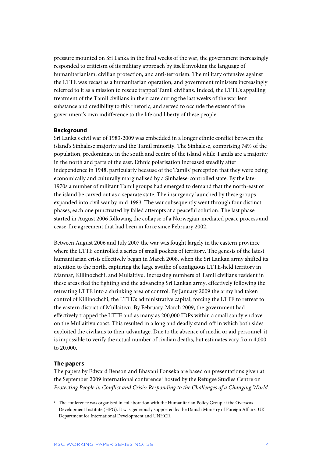pressure mounted on Sri Lanka in the final weeks of the war, the government increasingly responded to criticism of its military approach by itself invoking the language of humanitarianism, civilian protection, and anti-terrorism. The military offensive against the LTTE was recast as a humanitarian operation, and government ministers increasingly referred to it as a mission to rescue trapped Tamil civilians. Indeed, the LTTE's appalling treatment of the Tamil civilians in their care during the last weeks of the war lent substance and credibility to this rhetoric, and served to occlude the extent of the government's own indifference to the life and liberty of these people.

#### **Background**

Sri Lanka's civil war of 1983-2009 was embedded in a longer ethnic conflict between the island's Sinhalese majority and the Tamil minority. The Sinhalese, comprising 74% of the population, predominate in the south and centre of the island while Tamils are a majority in the north and parts of the east. Ethnic polarisation increased steadily after independence in 1948, particularly because of the Tamils' perception that they were being economically and culturally marginalised by a Sinhalese-controlled state. By the late-1970s a number of militant Tamil groups had emerged to demand that the north-east of the island be carved out as a separate state. The insurgency launched by these groups expanded into civil war by mid-1983. The war subsequently went through four distinct phases, each one punctuated by failed attempts at a peaceful solution. The last phase started in August 2006 following the collapse of a Norwegian-mediated peace process and cease-fire agreement that had been in force since February 2002.

Between August 2006 and July 2007 the war was fought largely in the eastern province where the LTTE controlled a series of small pockets of territory. The genesis of the latest humanitarian crisis effectively began in March 2008, when the Sri Lankan army shifted its attention to the north, capturing the large swathe of contiguous LTTE-held territory in Mannar, Killinochchi, and Mullaitivu. Increasing numbers of Tamil civilians resident in these areas fled the fighting and the advancing Sri Lankan army, effectively following the retreating LTTE into a shrinking area of control. By January 2009 the army had taken control of Killinochchi, the LTTE's administrative capital, forcing the LTTE to retreat to the eastern district of Mullaitivu. By February-March 2009, the government had effectively trapped the LTTE and as many as 200,000 IDPs within a small sandy enclave on the Mullaitivu coast. This resulted in a long and deadly stand-off in which both sides exploited the civilians to their advantage. Due to the absence of media or aid personnel, it is impossible to verify the actual number of civilian deaths, but estimates vary from 4,000 to 20,000.

#### **The papers**

j

The papers by Edward Benson and Bhavani Fonseka are based on presentations given at the September 2009 international conference<sup>1</sup> hosted by the Refugee Studies Centre on *Protecting People in Conflict and Crisis: Responding to the Challenges of a Changing World*.

<sup>&</sup>lt;sup>1</sup> The conference was organised in collaboration with the Humanitarian Policy Group at the Overseas Development Institute (HPG). It was generously supported by the Danish Ministry of Foreign Affairs, UK Department for International Development and UNHCR.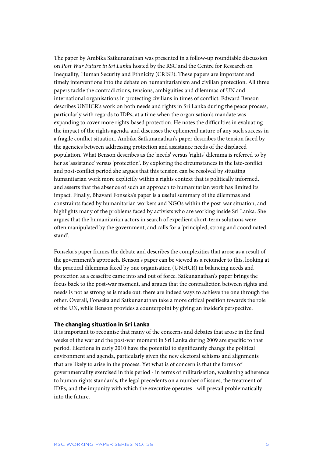The paper by Ambika Satkunanathan was presented in a follow-up roundtable discussion on *Post War Future in Sri Lanka* hosted by the RSC and the Centre for Research on Inequality, Human Security and Ethnicity (CRISE). These papers are important and timely interventions into the debate on humanitarianism and civilian protection. All three papers tackle the contradictions, tensions, ambiguities and dilemmas of UN and international organisations in protecting civilians in times of conflict. Edward Benson describes UNHCR's work on both needs and rights in Sri Lanka during the peace process, particularly with regards to IDPs, at a time when the organisation's mandate was expanding to cover more rights-based protection. He notes the difficulties in evaluating the impact of the rights agenda, and discusses the ephemeral nature of any such success in a fragile conflict situation. Ambika Satkunanathan's paper describes the tension faced by the agencies between addressing protection and assistance needs of the displaced population. What Benson describes as the 'needs' versus 'rights' dilemma is referred to by her as 'assistance' versus 'protection'. By exploring the circumstances in the late-conflict and post-conflict period she argues that this tension can be resolved by situating humanitarian work more explicitly within a rights context that is politically informed, and asserts that the absence of such an approach to humanitarian work has limited its impact. Finally, Bhavani Fonseka's paper is a useful summary of the dilemmas and constraints faced by humanitarian workers and NGOs within the post-war situation, and highlights many of the problems faced by activists who are working inside Sri Lanka. She argues that the humanitarian actors in search of expedient short-term solutions were often manipulated by the government, and calls for a 'principled, strong and coordinated stand'.

Fonseka's paper frames the debate and describes the complexities that arose as a result of the government's approach. Benson's paper can be viewed as a rejoinder to this, looking at the practical dilemmas faced by one organisation (UNHCR) in balancing needs and protection as a ceasefire came into and out of force. Satkunanathan's paper brings the focus back to the post-war moment, and argues that the contradiction between rights and needs is not as strong as is made out: there are indeed ways to achieve the one through the other. Overall, Fonseka and Satkunanathan take a more critical position towards the role of the UN, while Benson provides a counterpoint by giving an insider's perspective.

### **The changing situation in Sri Lanka**

It is important to recognise that many of the concerns and debates that arose in the final weeks of the war and the post-war moment in Sri Lanka during 2009 are specific to that period. Elections in early 2010 have the potential to significantly change the political environment and agenda, particularly given the new electoral schisms and alignments that are likely to arise in the process. Yet what is of concern is that the forms of governmentality exercised in this period - in terms of militarisation, weakening adherence to human rights standards, the legal precedents on a number of issues, the treatment of IDPs, and the impunity with which the executive operates - will prevail problematically into the future.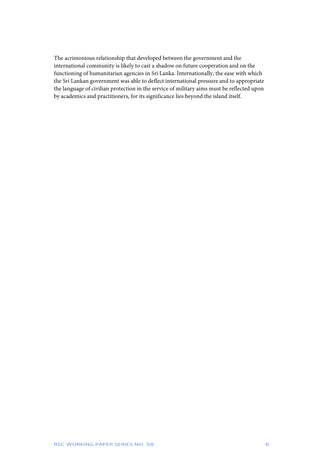The acrimonious relationship that developed between the government and the international community is likely to cast a shadow on future cooperation and on the functioning of humanitarian agencies in Sri Lanka. Internationally, the ease with which the Sri Lankan government was able to deflect international pressure and to appropriate the language of civilian protection in the service of military aims must be reflected upon by academics and practitioners, for its significance lies beyond the island itself.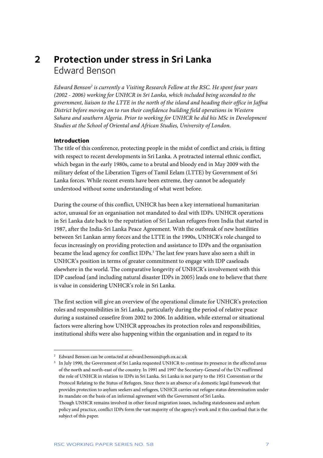# **2 Protection under stress in Sri Lanka**  Edward Benson

Edward Benson<sup>2</sup> is currently a Visiting Research Fellow at the RSC. He spent four years *(2002 - 2006) working for UNHCR in Sri Lanka, which included being seconded to the government, liaison to the LTTE in the north of the island and heading their office in Jaffna District before moving on to run their confidence building field operations in Western Sahara and southern Algeria. Prior to working for UNHCR he did his MSc in Development Studies at the School of Oriental and African Studies, University of London.* 

#### **Introduction**

j

The title of this conference, protecting people in the midst of conflict and crisis, is fitting with respect to recent developments in Sri Lanka. A protracted internal ethnic conflict, which began in the early 1980s, came to a brutal and bloody end in May 2009 with the military defeat of the Liberation Tigers of Tamil Eelam (LTTE) by Government of Sri Lanka forces. While recent events have been extreme, they cannot be adequately understood without some understanding of what went before.

During the course of this conflict, UNHCR has been a key international humanitarian actor, unusual for an organisation not mandated to deal with IDPs. UNHCR operations in Sri Lanka date back to the repatriation of Sri Lankan refugees from India that started in 1987, after the India-Sri Lanka Peace Agreement. With the outbreak of new hostilities between Sri Lankan army forces and the LTTE in the 1990s, UNHCR's role changed to focus increasingly on providing protection and assistance to IDPs and the organisation became the lead agency for conflict IDPs.<sup>3</sup> The last few years have also seen a shift in UNHCR's position in terms of greater commitment to engage with IDP caseloads elsewhere in the world. The comparative longevity of UNHCR's involvement with this IDP caseload (and including natural disaster IDPs in 2005) leads one to believe that there is value in considering UNHCR's role in Sri Lanka.

The first section will give an overview of the operational climate for UNHCR's protection roles and responsibilities in Sri Lanka, particularly during the period of relative peace during a sustained ceasefire from 2002 to 2006. In addition, while external or situational factors were altering how UNHCR approaches its protection roles and responsibilities, institutional shifts were also happening within the organisation and in regard to its

<sup>2</sup> Edward Benson can be contacted at edward.benson@qeh.ox.ac.uk

<sup>3</sup> In July 1990, the Government of Sri Lanka requested UNHCR to continue its presence in the affected areas of the north and north-east of the country. In 1991 and 1997 the Secretary-General of the UN reaffirmed the role of UNHCR in relation to IDPs in Sri Lanka. Sri Lanka is not party to the 1951 Convention or the Protocol Relating to the Status of Refugees. Since there is an absence of a domestic legal framework that provides protection to asylum seekers and refugees, UNHCR carries out refugee status determination under its mandate on the basis of an informal agreement with the Government of Sri Lanka.

Though UNHCR remains involved in other forced migration issues, including statelessness and asylum policy and practice, conflict IDPs form the vast majority of the agency's work and it this caseload that is the subject of this paper.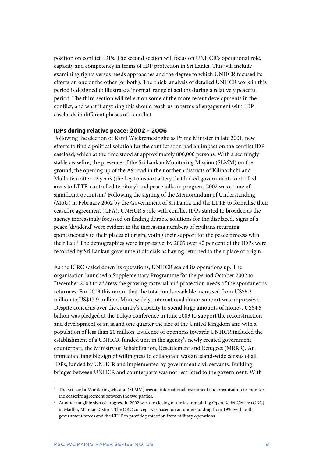position on conflict IDPs. The second section will focus on UNHCR's operational role, capacity and competency in terms of IDP protection in Sri Lanka. This will include examining rights versus needs approaches and the degree to which UNHCR focused its efforts on one or the other (or both). The 'thick' analysis of detailed UNHCR work in this period is designed to illustrate a 'normal' range of actions during a relatively peaceful period. The third section will reflect on some of the more recent developments in the conflict, and what if anything this should teach us in terms of engagement with IDP caseloads in different phases of a conflict.

#### **IDPs during relative peace: 2002 - 2006**

Following the election of Ranil Wickremesinghe as Prime Minister in late 2001, new efforts to find a political solution for the conflict soon had an impact on the conflict IDP caseload, which at the time stood at approximately 800,000 persons. With a seemingly stable ceasefire, the presence of the Sri Lankan Monitoring Mission (SLMM) on the ground, the opening up of the A9 road in the northern districts of Kilinochchi and Mullaitivu after 12 years (the key transport artery that linked government-controlled areas to LTTE-controlled territory) and peace talks in progress, 2002 was a time of significant optimism.<sup>4</sup> Following the signing of the Memorandum of Understanding (MoU) in February 2002 by the Government of Sri Lanka and the LTTE to formalise their ceasefire agreement (CFA), UNHCR's role with conflict IDPs started to broaden as the agency increasingly focussed on finding durable solutions for the displaced. Signs of a peace 'dividend' were evident in the increasing numbers of civilians returning spontaneously to their places of origin, voting their support for the peace process with their feet.<sup>5</sup> The demographics were impressive: by 2003 over 40 per cent of the IDPs were recorded by Sri Lankan government officials as having returned to their place of origin.

As the ICRC scaled down its operations, UNHCR scaled its operations up. The organisation launched a Supplementary Programme for the period October 2002 to December 2003 to address the growing material and protection needs of the spontaneous returnees. For 2003 this meant that the total funds available increased from US\$6.3 million to US\$17.9 million. More widely, international donor support was impressive. Despite concerns over the country's capacity to spend large amounts of money, US\$4.5 billion was pledged at the Tokyo conference in June 2003 to support the reconstruction and development of an island one quarter the size of the United Kingdom and with a population of less than 20 million. Evidence of openness towards UNHCR included the establishment of a UNHCR-funded unit in the agency's newly created government counterpart, the Ministry of Rehabilitation, Resettlement and Refugees (MRRR). An immediate tangible sign of willingness to collaborate was an island-wide census of all IDPs, funded by UNHCR and implemented by government civil servants. Building bridges between UNHCR and counterparts was not restricted to the government. With

1

<sup>4</sup> The Sri Lanka Monitoring Mission (SLMM) was an international instrument and organisation to monitor the ceasefire agreement between the two parties.

<sup>5</sup> Another tangible sign of progress in 2002 was the closing of the last remaining Open Relief Centre (ORC) in Madhu, Mannar District. The ORC concept was based on an understanding from 1990 with both government forces and the LTTE to provide protection from military operations.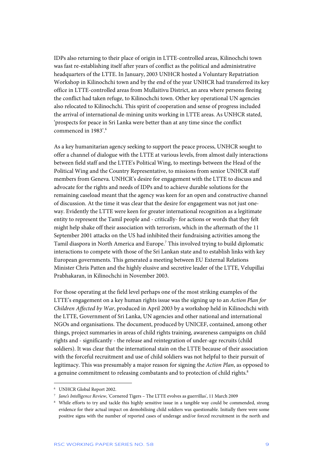IDPs also returning to their place of origin in LTTE-controlled areas, Kilinochchi town was fast re-establishing itself after years of conflict as the political and administrative headquarters of the LTTE. In January, 2003 UNHCR hosted a Voluntary Repatriation Workshop in Kilinochchi town and by the end of the year UNHCR had transferred its key office in LTTE-controlled areas from Mullaitivu District, an area where persons fleeing the conflict had taken refuge, to Kilinochchi town. Other key operational UN agencies also relocated to Kilinochchi. This spirit of cooperation and sense of progress included the arrival of international de-mining units working in LTTE areas. As UNHCR stated, 'prospects for peace in Sri Lanka were better than at any time since the conflict commenced in 1983'.<sup>6</sup>

As a key humanitarian agency seeking to support the peace process, UNHCR sought to offer a channel of dialogue with the LTTE at various levels, from almost daily interactions between field staff and the LTTE's Political Wing, to meetings between the Head of the Political Wing and the Country Representative, to missions from senior UNHCR staff members from Geneva. UNHCR's desire for engagement with the LTTE to discuss and advocate for the rights and needs of IDPs and to achieve durable solutions for the remaining caseload meant that the agency was keen for an open and constructive channel of discussion. At the time it was clear that the desire for engagement was not just oneway. Evidently the LTTE were keen for greater international recognition as a legitimate entity to represent the Tamil people and - critically- for actions or words that they felt might help shake off their association with terrorism, which in the aftermath of the 11 September 2001 attacks on the US had inhibited their fundraising activities among the Tamil diaspora in North America and Europe.<sup>7</sup> This involved trying to build diplomatic interactions to compete with those of the Sri Lankan state and to establish links with key European governments. This generated a meeting between EU External Relations Minister Chris Patten and the highly elusive and secretive leader of the LTTE, Velupillai Prabhakaran, in Kilinochchi in November 2003.

For those operating at the field level perhaps one of the most striking examples of the LTTE's engagement on a key human rights issue was the signing up to an *Action Plan for Children Affected by War*, produced in April 2003 by a workshop held in Kilinochchi with the LTTE, Government of Sri Lanka, UN agencies and other national and international NGOs and organisations. The document, produced by UNICEF, contained, among other things, project summaries in areas of child rights training, awareness campaigns on child rights and - significantly - the release and reintegration of under-age recruits (child soldiers). It was clear that the international stain on the LTTE because of their association with the forceful recruitment and use of child soldiers was not helpful to their pursuit of legitimacy. This was presumably a major reason for signing the *Action Plan*, as opposed to a genuine commitment to releasing combatants and to protection of child rights.<sup>8</sup>

<sup>6</sup> UNHCR Global Report 2002.

<sup>7</sup> *Jane's Intelligence Review*, 'Cornered Tigers – The LTTE evolves as guerrillas', 11 March 2009

<sup>8</sup> While efforts to try and tackle this highly sensitive issue in a tangible way could be commended, strong evidence for their actual impact on demobilising child soldiers was questionable. Initially there were some positive signs with the number of reported cases of underage and/or forced recruitment in the north and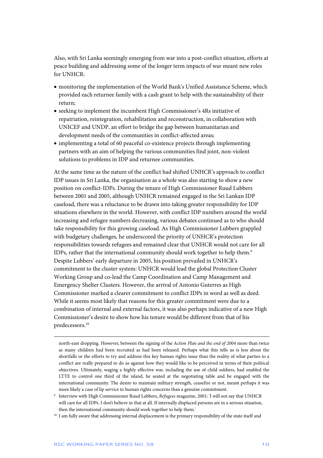Also, with Sri Lanka seemingly emerging from war into a post-conflict situation, efforts at peace building and addressing some of the longer term impacts of war meant new roles for UNHCR:

- monitoring the implementation of the World Bank's Unified Assistance Scheme, which provided each returnee family with a cash grant to help with the sustainability of their return;
- seeking to implement the incumbent High Commissioner's 4Rs initiative of repatriation, reintegration, rehabilitation and reconstruction, in collaboration with UNICEF and UNDP, an effort to bridge the gap between humanitarian and development needs of the communities in conflict-affected areas;
- implementing a total of 60 peaceful co-existence projects through implementing partners with an aim of helping the various communities find joint, non-violent solutions to problems in IDP and returnee communities.

At the same time as the nature of the conflict had shifted UNHCR's approach to conflict IDP issues in Sri Lanka, the organisation as a whole was also starting to show a new position on conflict-IDPs. During the tenure of High Commissioner Ruud Lubbers between 2001 and 2005, although UNHCR remained engaged in the Sri Lankan IDP caseload, there was a reluctance to be drawn into taking greater responsibility for IDP situations elsewhere in the world. However, with conflict IDP numbers around the world increasing and refugee numbers decreasing, various debates continued as to who should take responsibility for this growing caseload. As High Commissioner Lubbers grappled with budgetary challenges, he underscored the priority of UNHCR's protection responsibilities towards refugees and remained clear that UNHCR would not care for all IDPs, rather that the international community should work together to help them.<sup>9</sup> Despite Lubbers' early departure in 2005, his position prevailed in UNHCR's commitment to the cluster system: UNHCR would lead the global Protection Cluster Working Group and co-lead the Camp Coordination and Camp Management and Emergency Shelter Clusters. However, the arrival of Antonio Guterres as High Commissioner marked a clearer commitment to conflict IDPs in word as well as deed. While it seems most likely that reasons for this greater commitment were due to a combination of internal and external factors, it was also perhaps indicative of a new High Commissioner's desire to show how his tenure would be different from that of his predecessors.10

north-east dropping. However, between the signing of the *Action Plan and the end of 2004* more than twice as many children had been recruited as had been released. Perhaps what this tells us is less about the shortfalls or the efforts to try and address this key human rights issue than the reality of what parties to a conflict are really prepared to do as against how they would like to be perceived in terms of their political objectives. Ultimately, waging a highly effective war, including the use of child soldiers, had enabled the LTTE to control one third of the island, be seated at the negotiating table and be engaged with the international community. The desire to maintain military strength, ceasefire or not, meant perhaps it was more likely a case of lip service to human rights concerns than a genuine commitment.

<sup>9</sup> Interview with High Commissioner Ruud Lubbers, *Refugees* magazine, 2001: 'I will not say that UNHCR will care for all IDPs. I don't believe in that at all. If internally displaced persons are in a serious situation, then the international community should work together to help them.'

<sup>&</sup>lt;sup>10</sup> I am fully aware that addressing internal displacement is the primary responsibility of the state itself and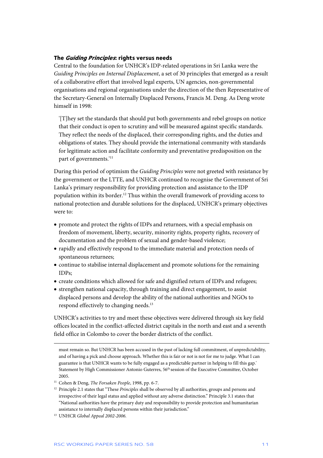### **The Guiding Principles: rights versus needs**

Central to the foundation for UNHCR's IDP-related operations in Sri Lanka were the *Guiding Principles on Internal Displacement*, a set of 30 principles that emerged as a result of a collaborative effort that involved legal experts, UN agencies, non-governmental organisations and regional organisations under the direction of the then Representative of the Secretary-General on Internally Displaced Persons, Francis M. Deng. As Deng wrote himself in 1998:

'[T]hey set the standards that should put both governments and rebel groups on notice that their conduct is open to scrutiny and will be measured against specific standards. They reflect the needs of the displaced, their corresponding rights, and the duties and obligations of states. They should provide the international community with standards for legitimate action and facilitate conformity and preventative predisposition on the part of governments.<sup>'11</sup>

During this period of optimism the *Guiding Principles* were not greeted with resistance by the government or the LTTE, and UNHCR continued to recognise the Government of Sri Lanka's primary responsibility for providing protection and assistance to the IDP population within its border.12 Thus within the overall framework of providing access to national protection and durable solutions for the displaced, UNHCR's primary objectives were to:

- promote and protect the rights of IDPs and returnees, with a special emphasis on freedom of movement, liberty, security, minority rights, property rights, recovery of documentation and the problem of sexual and gender-based violence;
- rapidly and effectively respond to the immediate material and protection needs of spontaneous returnees;
- continue to stabilise internal displacement and promote solutions for the remaining IDPs;
- create conditions which allowed for safe and dignified return of IDPs and refugees;
- strengthen national capacity, through training and direct engagement, to assist displaced persons and develop the ability of the national authorities and NGOs to respond effectively to changing needs.<sup>13</sup>

UNHCR's activities to try and meet these objectives were delivered through six key field offices located in the conflict-affected district capitals in the north and east and a seventh field office in Colombo to cover the border districts of the conflict.

must remain so. But UNHCR has been accused in the past of lacking full commitment, of unpredictability, and of having a pick and choose approach. Whether this is fair or not is not for me to judge. What I can guarantee is that UNHCR wants to be fully engaged as a predictable partner in helping to fill this gap.' Statement by High Commissioner Antonio Guterres, 56th session of the Executive Committee, October 2005.

<sup>11</sup> Cohen & Deng, *The Forsaken People*, 1998, pp. 6-7.

<sup>12</sup> Principle 2.1 states that "These *Principles* shall be observed by all authorities, groups and persons and irrespective of their legal status and applied without any adverse distinction." Principle 3.1 states that "National authorities have the primary duty and responsibility to provide protection and humanitarian assistance to internally displaced persons within their jurisdiction."

<sup>13</sup> UNHCR *Global Appeal 2002-2006.*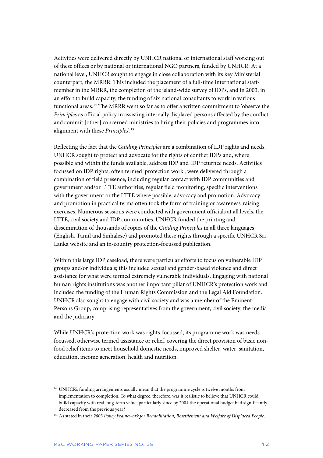Activities were delivered directly by UNHCR national or international staff working out of these offices or by national or international NGO partners, funded by UNHCR. At a national level, UNHCR sought to engage in close collaboration with its key Ministerial counterpart, the MRRR. This included the placement of a full-time international staffmember in the MRRR, the completion of the island-wide survey of IDPs, and in 2003, in an effort to build capacity, the funding of six national consultants to work in various functional areas.14 The MRRR went so far as to offer a written commitment to 'observe the *Principles* as official policy in assisting internally displaced persons affected by the conflict and commit [other] concerned ministries to bring their policies and programmes into alignment with these *Principles*'.15

Reflecting the fact that the *Guiding Principles* are a combination of IDP rights and needs, UNHCR sought to protect and advocate for the rights of conflict IDPs and, where possible and within the funds available, address IDP and IDP returnee needs. Activities focussed on IDP rights, often termed 'protection work', were delivered through a combination of field presence, including regular contact with IDP communities and government and/or LTTE authorities, regular field monitoring, specific interventions with the government or the LTTE where possible, advocacy and promotion. Advocacy and promotion in practical terms often took the form of training or awareness-raising exercises. Numerous sessions were conducted with government officials at all levels, the LTTE, civil society and IDP communities. UNHCR funded the printing and dissemination of thousands of copies of the *Guiding Principles* in all three languages (English, Tamil and Sinhalese) and promoted these rights through a specific UNHCR Sri Lanka website and an in-country protection-focussed publication.

Within this large IDP caseload, there were particular efforts to focus on vulnerable IDP groups and/or individuals; this included sexual and gender-based violence and direct assistance for what were termed extremely vulnerable individuals. Engaging with national human rights institutions was another important pillar of UNHCR's protection work and included the funding of the Human Rights Commission and the Legal Aid Foundation. UNHCR also sought to engage with civil society and was a member of the Eminent Persons Group, comprising representatives from the government, civil society, the media and the judiciary.

While UNHCR's protection work was rights-focussed, its programme work was needsfocussed, otherwise termed assistance or relief, covering the direct provision of basic nonfood relief items to meet household domestic needs, improved shelter, water, sanitation, education, income generation, health and nutrition.

<sup>&</sup>lt;sup>14</sup> UNHCR's funding arrangements usually mean that the programme cycle is twelve months from implementation to completion. To what degree, therefore, was it realistic to believe that UNHCR could build capacity with real long-term value, particularly since by 2004 the operational budget had significantly decreased from the previous year?

<sup>15</sup> As stated in their *2003 Policy Framework for Rehabilitation, Resettlement and Welfare of Displaced People.*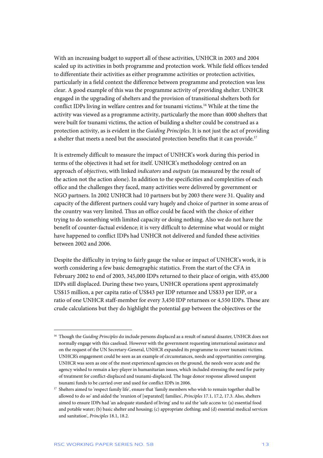With an increasing budget to support all of these activities, UNHCR in 2003 and 2004 scaled up its activities in both programme and protection work. While field offices tended to differentiate their activities as either programme activities or protection activities, particularly in a field context the difference between programme and protection was less clear. A good example of this was the programme activity of providing shelter. UNHCR engaged in the upgrading of shelters and the provision of transitional shelters both for conflict IDPs living in welfare centres and for tsunami victims.<sup>16</sup> While at the time the activity was viewed as a programme activity, particularly the more than 4000 shelters that were built for tsunami victims, the action of building a shelter could be construed as a protection activity, as is evident in the *Guiding Principles*. It is not just the act of providing a shelter that meets a need but the associated protection benefits that it can provide.<sup>17</sup>

It is extremely difficult to measure the impact of UNHCR's work during this period in terms of the objectives it had set for itself. UNHCR's methodology centred on an approach of *objectives*, with linked *indicators* and *outputs* (as measured by the result of the action not the action alone). In addition to the specificities and complexities of each office and the challenges they faced, many activities were delivered by government or NGO partners. In 2002 UNHCR had 10 partners but by 2003 there were 31. Quality and capacity of the different partners could vary hugely and choice of partner in some areas of the country was very limited. Thus an office could be faced with the choice of either trying to do something with limited capacity or doing nothing. Also we do not have the benefit of counter-factual evidence; it is very difficult to determine what would or might have happened to conflict IDPs had UNHCR not delivered and funded these activities between 2002 and 2006.

Despite the difficulty in trying to fairly gauge the value or impact of UNHCR's work, it is worth considering a few basic demographic statistics. From the start of the CFA in February 2002 to end of 2003, 345,000 IDPs returned to their place of origin, with 455,000 IDPs still displaced. During these two years, UNHCR operations spent approximately US\$15 million, a per capita ratio of US\$43 per IDP returnee and US\$33 per IDP, or a ratio of one UNHCR staff-member for every 3,450 IDP returnees or 4,550 IDPs. These are crude calculations but they do highlight the potential gap between the objectives or the

<sup>&</sup>lt;sup>16</sup> Though the *Guiding Principles* do include persons displaced as a result of natural disaster, UNHCR does not normally engage with this caseload. However with the government requesting international assistance and on the request of the UN Secretary-General, UNHCR expanded its programme to cover tsunami victims. UNHCR's engagement could be seen as an example of circumstances, needs and opportunities converging. UNHCR was seen as one of the most experienced agencies on the ground, the needs were acute and the agency wished to remain a key-player in humanitarian issues, which included stressing the need for parity of treatment for conflict-displaced and tsunami-displaced. The huge donor response allowed unspent tsunami funds to be carried over and used for conflict IDPs in 2006.

<sup>&</sup>lt;sup>17</sup> Shelters aimed to 'respect family life', ensure that 'family members who wish to remain together shall be allowed to do so' and aided the 'reunion of [separated] families', *Principles* 17.1, 17.2, 17.3. Also, shelters aimed to ensure IDPs had 'an adequate standard of living' and to aid the 'safe access to: (a) essential food and potable water; (b) basic shelter and housing; (c) appropriate clothing; and (d) essential medical services and sanitation', *Principles* 18.1, 18.2.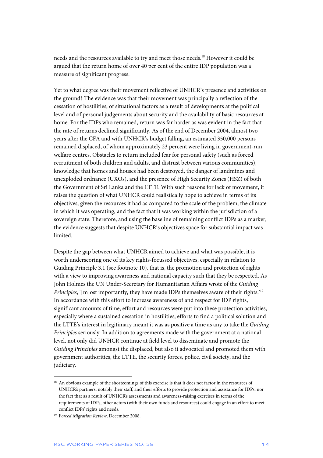needs and the resources available to try and meet those needs.18 However it could be argued that the return home of over 40 per cent of the entire IDP population was a measure of significant progress.

Yet to what degree was their movement reflective of UNHCR's presence and activities on the ground? The evidence was that their movement was principally a reflection of the cessation of hostilities, of situational factors as a result of developments at the political level and of personal judgements about security and the availability of basic resources at home. For the IDPs who remained, return was far harder as was evident in the fact that the rate of returns declined significantly. As of the end of December 2004, almost two years after the CFA and with UNHCR's budget falling, an estimated 350,000 persons remained displaced, of whom approximately 23 percent were living in government-run welfare centres. Obstacles to return included fear for personal safety (such as forced recruitment of both children and adults, and distrust between various communities), knowledge that homes and houses had been destroyed, the danger of landmines and unexploded ordnance (UXOs), and the presence of High Security Zones (HSZ) of both the Government of Sri Lanka and the LTTE. With such reasons for lack of movement, it raises the question of what UNHCR could realistically hope to achieve in terms of its objectives, given the resources it had as compared to the scale of the problem, the climate in which it was operating, and the fact that it was working within the jurisdiction of a sovereign state. Therefore, and using the baseline of remaining conflict IDPs as a marker, the evidence suggests that despite UNHCR's objectives space for substantial impact was limited.

Despite the gap between what UNHCR aimed to achieve and what was possible, it is worth underscoring one of its key rights-focussed objectives, especially in relation to Guiding Principle 3.1 (see footnote 10), that is, the promotion and protection of rights with a view to improving awareness and national capacity such that they be respected. As John Holmes the UN Under-Secretary for Humanitarian Affairs wrote of the *Guiding Principles*, '[m]ost importantly, they have made IDPs themselves aware of their rights.'<sup>19</sup> In accordance with this effort to increase awareness of and respect for IDP rights, significant amounts of time, effort and resources were put into these protection activities, especially where a sustained cessation in hostilities, efforts to find a political solution and the LTTE's interest in legitimacy meant it was as positive a time as any to take the *Guiding Principles* seriously. In addition to agreements made with the government at a national level, not only did UNHCR continue at field level to disseminate and promote the *Guiding Principles* amongst the displaced, but also it advocated and promoted them with government authorities, the LTTE, the security forces, police, civil society, and the judiciary.

<sup>&</sup>lt;sup>18</sup> An obvious example of the shortcomings of this exercise is that it does not factor in the resources of UNHCR's partners, notably their staff, and their efforts to provide protection and assistance for IDPs, nor the fact that as a result of UNHCR's assessments and awareness-raising exercises in terms of the requirements of IDPs, other actors (with their own funds and resources) could engage in an effort to meet conflict IDPs' rights and needs.

<sup>19</sup> F*orced Migration Review*, December 2008.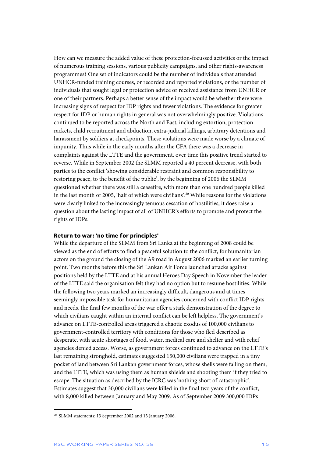How can we measure the added value of these protection-focussed activities or the impact of numerous training sessions, various publicity campaigns, and other rights-awareness programmes? One set of indicators could be the number of individuals that attended UNHCR-funded training courses, or recorded and reported violations, or the number of individuals that sought legal or protection advice or received assistance from UNHCR or one of their partners. Perhaps a better sense of the impact would be whether there were increasing signs of respect for IDP rights and fewer violations. The evidence for greater respect for IDP or human rights in general was not overwhelmingly positive. Violations continued to be reported across the North and East, including extortion, protection rackets, child recruitment and abduction, extra-judicial killings, arbitrary detentions and harassment by soldiers at checkpoints. These violations were made worse by a climate of impunity. Thus while in the early months after the CFA there was a decrease in complaints against the LTTE and the government, over time this positive trend started to reverse. While in September 2002 the SLMM reported a 40 percent decrease, with both parties to the conflict 'showing considerable restraint and common responsibility to restoring peace, to the benefit of the public', by the beginning of 2006 the SLMM questioned whether there was still a ceasefire, with more than one hundred people killed in the last month of 2005, 'half of which were civilians'.20 While reasons for the violations were clearly linked to the increasingly tenuous cessation of hostilities, it does raise a question about the lasting impact of all of UNHCR's efforts to promote and protect the rights of IDPs.

### **Return to war: 'no time for principles'**

While the departure of the SLMM from Sri Lanka at the beginning of 2008 could be viewed as the end of efforts to find a peaceful solution to the conflict, for humanitarian actors on the ground the closing of the A9 road in August 2006 marked an earlier turning point. Two months before this the Sri Lankan Air Force launched attacks against positions held by the LTTE and at his annual Heroes Day Speech in November the leader of the LTTE said the organisation felt they had no option but to resume hostilities. While the following two years marked an increasingly difficult, dangerous and at times seemingly impossible task for humanitarian agencies concerned with conflict IDP rights and needs, the final few months of the war offer a stark demonstration of the degree to which civilians caught within an internal conflict can be left helpless. The government's advance on LTTE-controlled areas triggered a chaotic exodus of 100,000 civilians to government-controlled territory with conditions for those who fled described as desperate, with acute shortages of food, water, medical care and shelter and with relief agencies denied access. Worse, as government forces continued to advance on the LTTE's last remaining stronghold, estimates suggested 150,000 civilians were trapped in a tiny pocket of land between Sri Lankan government forces, whose shells were falling on them, and the LTTE, which was using them as human shields and shooting them if they tried to escape. The situation as described by the ICRC was 'nothing short of catastrophic'. Estimates suggest that 30,000 civilians were killed in the final two years of the conflict, with 8,000 killed between January and May 2009. As of September 2009 300,000 IDPs

<sup>20</sup> SLMM statements: 13 September 2002 and 13 January 2006.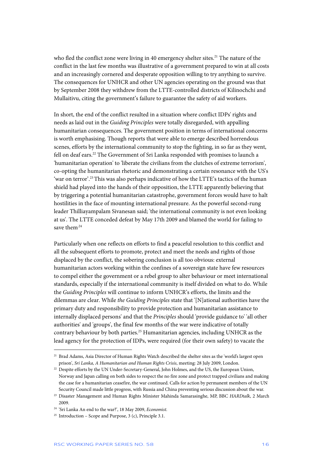who fled the conflict zone were living in 40 emergency shelter sites.<sup>21</sup> The nature of the conflict in the last few months was illustrative of a government prepared to win at all costs and an increasingly cornered and desperate opposition willing to try anything to survive. The consequences for UNHCR and other UN agencies operating on the ground was that by September 2008 they withdrew from the LTTE-controlled districts of Kilinochchi and Mullaitivu, citing the government's failure to guarantee the safety of aid workers.

In short, the end of the conflict resulted in a situation where conflict IDPs' rights and needs as laid out in the *Guiding Principles* were totally disregarded, with appalling humanitarian consequences. The government position in terms of international concerns is worth emphasising. Though reports that were able to emerge described horrendous scenes, efforts by the international community to stop the fighting, in so far as they went, fell on deaf ears.<sup>22</sup> The Government of Sri Lanka responded with promises to launch a 'humanitarian operation' to 'liberate the civilians from the clutches of extreme terrorism', co-opting the humanitarian rhetoric and demonstrating a certain resonance with the US's 'war on terror'.23 This was also perhaps indicative of how the LTTE's tactics of the human shield had played into the hands of their opposition, the LTTE apparently believing that by triggering a potential humanitarian catastrophe, government forces would have to halt hostilities in the face of mounting international pressure. As the powerful second-rung leader Thilliayampalam Sivanesan said; 'the international community is not even looking at us'. The LTTE conceded defeat by May 17th 2009 and blamed the world for failing to save them<sup>.24</sup>

Particularly when one reflects on efforts to find a peaceful resolution to this conflict and all the subsequent efforts to promote, protect and meet the needs and rights of those displaced by the conflict, the sobering conclusion is all too obvious: external humanitarian actors working within the confines of a sovereign state have few resources to compel either the government or a rebel group to alter behaviour or meet international standards, especially if the international community is itself divided on what to do. While the *Guiding Principles* will continue to inform UNHCR's efforts, the limits and the dilemmas are clear. While *the Guiding Principles* state that '[N]ational authorities have the primary duty and responsibility to provide protection and humanitarian assistance to internally displaced persons' and that the *Principles* should 'provide guidance to' 'all other authorities' and 'groups', the final few months of the war were indicative of totally contrary behaviour by both parties.25 Humanitarian agencies, including UNHCR as the lead agency for the protection of IDPs, were required (for their own safety) to vacate the

<sup>&</sup>lt;sup>21</sup> Brad Adams, Asia Director of Human Rights Watch described the shelter sites as the 'world's largest open prison', *Sri Lanka, A Humanitarian and Human Rights Crisis*, meeting: 28 July 2009, London.

<sup>&</sup>lt;sup>22</sup> Despite efforts by the UN Under-Secretary-General, John Holmes, and the US, the European Union, Norway and Japan calling on both sides to respect the no fire zone and protect trapped civilians and making the case for a humanitarian ceasefire, the war continued. Calls for action by permanent members of the UN Security Council made little progress, with Russia and China preventing serious discussion about the war.

<sup>23</sup> Disaster Management and Human Rights Minister Mahinda Samarasinghe, MP, BBC *HARDtalk*, 2 March 2009.

<sup>24 &#</sup>x27;Sri Lanka An end to the war?', 18 May 2009, *Economist.* 

<sup>&</sup>lt;sup>25</sup> Introduction – Scope and Purpose, 3 (c), Principle 3.1.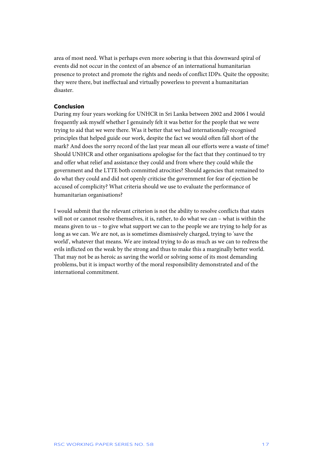area of most need. What is perhaps even more sobering is that this downward spiral of events did not occur in the context of an absence of an international humanitarian presence to protect and promote the rights and needs of conflict IDPs. Quite the opposite; they were there, but ineffectual and virtually powerless to prevent a humanitarian disaster.

## **Conclusion**

During my four years working for UNHCR in Sri Lanka between 2002 and 2006 I would frequently ask myself whether I genuinely felt it was better for the people that we were trying to aid that we were there. Was it better that we had internationally-recognised principles that helped guide our work, despite the fact we would often fall short of the mark? And does the sorry record of the last year mean all our efforts were a waste of time? Should UNHCR and other organisations apologise for the fact that they continued to try and offer what relief and assistance they could and from where they could while the government and the LTTE both committed atrocities? Should agencies that remained to do what they could and did not openly criticise the government for fear of ejection be accused of complicity? What criteria should we use to evaluate the performance of humanitarian organisations?

I would submit that the relevant criterion is not the ability to resolve conflicts that states will not or cannot resolve themselves, it is, rather, to do what we can – what is within the means given to us – to give what support we can to the people we are trying to help for as long as we can. We are not, as is sometimes dismissively charged, trying to 'save the world', whatever that means. We are instead trying to do as much as we can to redress the evils inflicted on the weak by the strong and thus to make this a marginally better world. That may not be as heroic as saving the world or solving some of its most demanding problems, but it is impact worthy of the moral responsibility demonstrated and of the international commitment.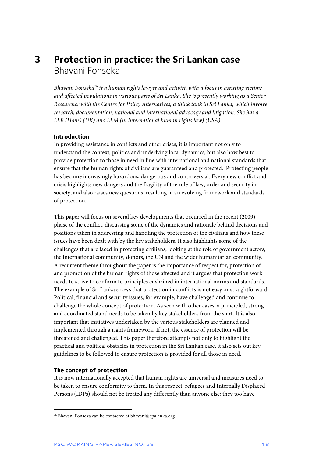# **3 Protection in practice: the Sri Lankan case**  Bhavani Fonseka

*Bhavani Fonseka26 is a human rights lawyer and activist, with a focus in assisting victims and affected populations in various parts of Sri Lanka. She is presently working as a Senior Researcher with the Centre for Policy Alternatives, a think tank in Sri Lanka, which involve research, documentation, national and international advocacy and litigation. She has a LLB (Hons) (UK) and LLM (in international human rights law) (USA).* 

#### **Introduction**

In providing assistance in conflicts and other crises, it is important not only to understand the context, politics and underlying local dynamics, but also how best to provide protection to those in need in line with international and national standards that ensure that the human rights of civilians are guaranteed and protected. Protecting people has become increasingly hazardous, dangerous and controversial. Every new conflict and crisis highlights new dangers and the fragility of the rule of law, order and security in society, and also raises new questions, resulting in an evolving framework and standards of protection.

This paper will focus on several key developments that occurred in the recent (2009) phase of the conflict, discussing some of the dynamics and rationale behind decisions and positions taken in addressing and handling the protection of the civilians and how these issues have been dealt with by the key stakeholders. It also highlights some of the challenges that are faced in protecting civilians, looking at the role of government actors, the international community, donors, the UN and the wider humanitarian community. A recurrent theme throughout the paper is the importance of respect for, protection of and promotion of the human rights of those affected and it argues that protection work needs to strive to conform to principles enshrined in international norms and standards. The example of Sri Lanka shows that protection in conflicts is not easy or straightforward. Political, financial and security issues, for example, have challenged and continue to challenge the whole concept of protection. As seen with other cases, a principled, strong and coordinated stand needs to be taken by key stakeholders from the start. It is also important that initiatives undertaken by the various stakeholders are planned and implemented through a rights framework. If not, the essence of protection will be threatened and challenged. This paper therefore attempts not only to highlight the practical and political obstacles in protection in the Sri Lankan case, it also sets out key guidelines to be followed to ensure protection is provided for all those in need.

#### **The concept of protection**

j

It is now internationally accepted that human rights are universal and measures need to be taken to ensure conformity to them. In this respect, refugees and Internally Displaced Persons (IDPs).should not be treated any differently than anyone else; they too have

<sup>26</sup> Bhavani Fonseka can be contacted at bhavani@cpalanka.org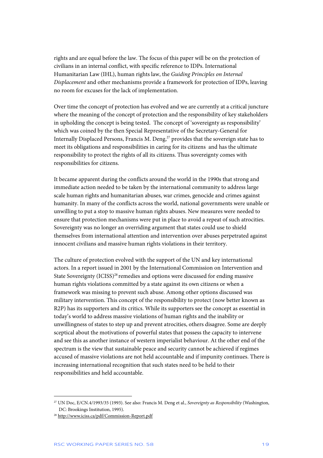rights and are equal before the law. The focus of this paper will be on the protection of civilians in an internal conflict, with specific reference to IDPs. International Humanitarian Law (IHL), human rights law, the *Guiding Principles on Internal Displacement* and other mechanisms provide a framework for protection of IDPs, leaving no room for excuses for the lack of implementation.

Over time the concept of protection has evolved and we are currently at a critical juncture where the meaning of the concept of protection and the responsibility of key stakeholders in upholding the concept is being tested. The concept of 'sovereignty as responsibility' which was coined by the then Special Representative of the Secretary-General for Internally Displaced Persons, Francis M. Deng, $27$  provides that the sovereign state has to meet its obligations and responsibilities in caring for its citizens and has the ultimate responsibility to protect the rights of all its citizens. Thus sovereignty comes with responsibilities for citizens.

It became apparent during the conflicts around the world in the 1990s that strong and immediate action needed to be taken by the international community to address large scale human rights and humanitarian abuses, war crimes, genocide and crimes against humanity. In many of the conflicts across the world, national governments were unable or unwilling to put a stop to massive human rights abuses. New measures were needed to ensure that protection mechanisms were put in place to avoid a repeat of such atrocities. Sovereignty was no longer an overriding argument that states could use to shield themselves from international attention and intervention over abuses perpetrated against innocent civilians and massive human rights violations in their territory.

The culture of protection evolved with the support of the UN and key international actors. In a report issued in 2001 by the International Commission on Intervention and State Sovereignty (ICISS)<sup>28</sup> remedies and options were discussed for ending massive human rights violations committed by a state against its own citizens or when a framework was missing to prevent such abuse. Among other options discussed was military intervention. This concept of the responsibility to protect (now better known as R2P) has its supporters and its critics. While its supporters see the concept as essential in today's world to address massive violations of human rights and the inability or unwillingness of states to step up and prevent atrocities, others disagree. Some are deeply sceptical about the motivations of powerful states that possess the capacity to intervene and see this as another instance of western imperialist behaviour. At the other end of the spectrum is the view that sustainable peace and security cannot be achieved if regimes accused of massive violations are not held accountable and if impunity continues. There is increasing international recognition that such states need to be held to their responsibilities and held accountable.

<sup>27</sup> UN Doc, E/CN.4/1993/35 (1993). See also: Francis M. Deng et al., *Sovereignty as Responsibility* (Washington, DC: Brookings Institution, 1995).

<sup>28</sup> http://www.iciss.ca/pdf/Commission-Report.pdf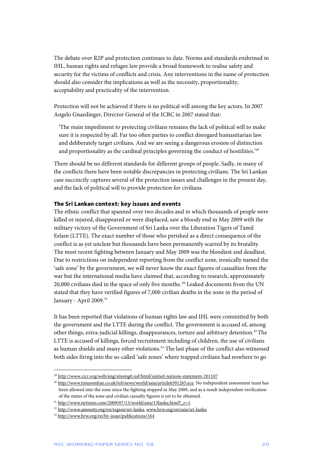The debate over R2P and protection continues to date. Norms and standards enshrined in IHL, human rights and refugee law provide a broad framework to realise safety and security for the victims of conflicts and crisis. Any interventions in the name of protection should also consider the implications as well as the necessity, proportionality, acceptability and practicality of the intervention.

Protection will not be achieved if there is no political will among the key actors. In 2007 Angelo Gnaedinger, Director General of the ICRC in 2007 stated that:

'The main impediment to protecting civilians remains the lack of political will to make sure it is respected by all. Far too often parties to conflict disregard humanitarian law and deliberately target civilians. And we are seeing a dangerous erosion of distinction and proportionality as the cardinal principles governing the conduct of hostilities.<sup>'29</sup>

There should be no different standards for different groups of people. Sadly, in many of the conflicts there have been notable discrepancies in protecting civilians. The Sri Lankan case succinctly captures several of the protection issues and challenges in the present day, and the lack of political will to provide protection for civilians.

#### **The Sri Lankan context: key issues and events**

The ethnic conflict that spanned over two decades and in which thousands of people were killed or injured, disappeared or were displaced, saw a bloody end in May 2009 with the military victory of the Government of Sri Lanka over the Liberation Tigers of Tamil Eelam (LTTE). The exact number of those who perished as a direct consequence of the conflict is as yet unclear but thousands have been permanently scarred by its brutality. The most recent fighting between January and May 2009 was the bloodiest and deadliest. Due to restrictions on independent reporting from the conflict zone, ironically named the 'safe zone' by the government, we will never know the exact figures of casualties from the war but the international media have claimed that, according to research, approximately 20,000 civilians died in the space of only five months.<sup>30</sup> Leaked documents from the UN stated that they have verified figures of 7,000 civilian deaths in the zone in the period of January - April 2009.<sup>31</sup>

It has been reported that violations of human rights law and IHL were committed by both the government and the LTTE during the conflict. The government is accused of, among other things, extra-judicial killings, disappearances, torture and arbitrary detention.<sup>32</sup> The LTTE is accused of killings, forced recruitment including of children, the use of civilians as human shields and many other violations.<sup>33</sup> The last phase of the conflict also witnessed both sides firing into the so-called 'safe zones' where trapped civilians had nowhere to go

<sup>29</sup> http://www.cicr.org/web/eng/siteeng0.nsf/html/united-nations-statement-201107

<sup>&</sup>lt;sup>30</sup> http://www.timesonline.co.uk/tol/news/world/asia/article6391265.ece. No independent assessment team has been allowed into the zone since the fighting stopped in May 2009, and as a result independent verification of the status of the zone and civilian casualty figures is yet to be obtained.

 $31 \text{ http://www.nytimes.com/2009/07/13/world/asia/13lanka.html?}$  r=1

<sup>32</sup> http://www.amnesty.org/en/region/sri-lanka, www.hrw.org/en/asia/sri-lanka

<sup>33</sup> http://www.hrw.org/en/by-issue/publications/164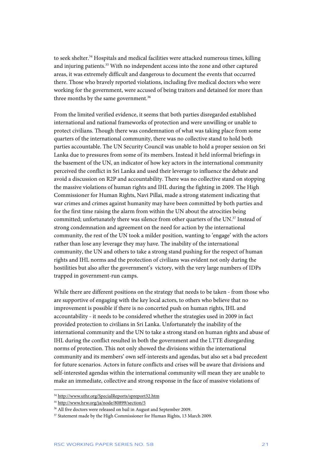to seek shelter.<sup>34</sup> Hospitals and medical facilities were attacked numerous times, killing and injuring patients.<sup>35</sup> With no independent access into the zone and other captured areas, it was extremely difficult and dangerous to document the events that occurred there. Those who bravely reported violations, including five medical doctors who were working for the government, were accused of being traitors and detained for more than three months by the same government.<sup>36</sup>

From the limited verified evidence, it seems that both parties disregarded established international and national frameworks of protection and were unwilling or unable to protect civilians. Though there was condemnation of what was taking place from some quarters of the international community, there was no collective stand to hold both parties accountable. The UN Security Council was unable to hold a proper session on Sri Lanka due to pressures from some of its members. Instead it held informal briefings in the basement of the UN, an indicator of how key actors in the international community perceived the conflict in Sri Lanka and used their leverage to influence the debate and avoid a discussion on R2P and accountability. There was no collective stand on stopping the massive violations of human rights and IHL during the fighting in 2009. The High Commissioner for Human Rights, Navi Pillai, made a strong statement indicating that war crimes and crimes against humanity may have been committed by both parties and for the first time raising the alarm from within the UN about the atrocities being committed; unfortunately there was silence from other quarters of the UN.<sup>37</sup> Instead of strong condemnation and agreement on the need for action by the international community, the rest of the UN took a milder position, wanting to 'engage' with the actors rather than lose any leverage they may have. The inability of the international community, the UN and others to take a strong stand pushing for the respect of human rights and IHL norms and the protection of civilians was evident not only during the hostilities but also after the government's victory, with the very large numbers of IDPs trapped in government-run camps.

While there are different positions on the strategy that needs to be taken - from those who are supportive of engaging with the key local actors, to others who believe that no improvement is possible if there is no concerted push on human rights, IHL and accountability - it needs to be considered whether the strategies used in 2009 in fact provided protection to civilians in Sri Lanka. Unfortunately the inability of the international community and the UN to take a strong stand on human rights and abuse of IHL during the conflict resulted in both the government and the LTTE disregarding norms of protection. This not only showed the divisions within the international community and its members' own self-interests and agendas, but also set a bad precedent for future scenarios. Actors in future conflicts and crises will be aware that divisions and self-interested agendas within the international community will mean they are unable to make an immediate, collective and strong response in the face of massive violations of

<sup>34</sup> http://www.uthr.org/SpecialReports/spreport32.htm

<sup>35</sup> http://www.hrw.org/ja/node/80899/section/5

<sup>&</sup>lt;sup>36</sup> All five doctors were released on bail in August and September 2009.

<sup>&</sup>lt;sup>37</sup> Statement made by the High Commissioner for Human Rights, 13 March 2009.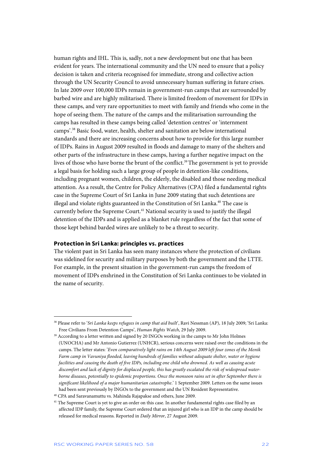human rights and IHL. This is, sadly, not a new development but one that has been evident for years. The international community and the UN need to ensure that a policy decision is taken and criteria recognised for immediate, strong and collective action through the UN Security Council to avoid unnecessary human suffering in future crises. In late 2009 over 100,000 IDPs remain in government-run camps that are surrounded by barbed wire and are highly militarised. There is limited freedom of movement for IDPs in these camps, and very rare opportunities to meet with family and friends who come in the hope of seeing them. The nature of the camps and the militarisation surrounding the camps has resulted in these camps being called 'detention centres' or 'internment camps'.38 Basic food, water, health, shelter and sanitation are below international standards and there are increasing concerns about how to provide for this large number of IDPs. Rains in August 2009 resulted in floods and damage to many of the shelters and other parts of the infrastructure in these camps, having a further negative impact on the lives of those who have borne the brunt of the conflict.<sup>39</sup> The government is yet to provide a legal basis for holding such a large group of people in detention-like conditions, including pregnant women, children, the elderly, the disabled and those needing medical attention. As a result, the Centre for Policy Alternatives (CPA) filed a fundamental rights case in the Supreme Court of Sri Lanka in June 2009 stating that such detentions are illegal and violate rights guaranteed in the Constitution of Sri Lanka.<sup>40</sup> The case is currently before the Supreme Court.<sup>41</sup> National security is used to justify the illegal detention of the IDPs and is applied as a blanket rule regardless of the fact that some of those kept behind barded wires are unlikely to be a threat to security.

#### **Protection in Sri Lanka: principles vs. practices**

The violent past in Sri Lanka has seen many instances where the protection of civilians was sidelined for security and military purposes by both the government and the LTTE. For example, in the present situation in the government-run camps the freedom of movement of IDPs enshrined in the Constitution of Sri Lanka continues to be violated in the name of security.

<sup>&</sup>lt;sup>38</sup> Please refer to '*Sri Lanka keeps refugees in camp that aid built*', Ravi Nessman (AP), 18 July 2009; 'Sri Lanka: Free Civilians From Detention Camps', *Human Rights Watch*, 29 July 2009.

<sup>&</sup>lt;sup>39</sup> According to a letter written and signed by 20 INGOs working in the camps to Mr John Holmes (UNOCHA) and Mr Antonio Gutierrez (UNHCR), serious concerns were raised over the conditions in the camps. The letter states: '*Even comparatively light rains on 14th August 2009 left four zones of the Menik Farm camp in Vavuniya flooded, leaving hundreds of families without adequate shelter, water or hygiene facilities and causing the death of five IDPs, including one child who drowned. As well as causing acute discomfort and lack of dignity for displaced people, this has greatly escalated the risk of widespread waterborne diseases, potentially to epidemic proportions. Once the monsoon rains set in after September there is significant likelihood of a major humanitarian catastrophe*.' 1 September 2009. Letters on the same issues had been sent previously by INGOs to the government and the UN Resident Representative.

<sup>40</sup> CPA and Saravanamuttu vs. Mahinda Rajapakse and others, June 2009.

<sup>&</sup>lt;sup>41</sup> The Supreme Court is yet to give an order on this case. In another fundamental rights case filed by an affected IDP family, the Supreme Court ordered that an injured girl who is an IDP in the camp should be released for medical reasons. Reported in *Daily Mirror*, 27 August 2009.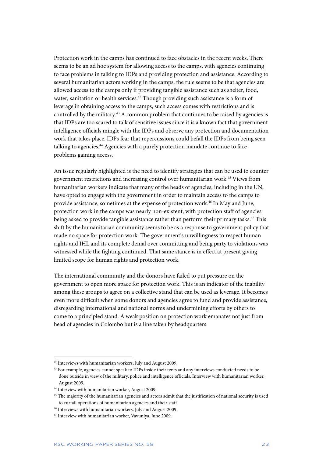Protection work in the camps has continued to face obstacles in the recent weeks. There seems to be an ad hoc system for allowing access to the camps, with agencies continuing to face problems in talking to IDPs and providing protection and assistance. According to several humanitarian actors working in the camps, the rule seems to be that agencies are allowed access to the camps only if providing tangible assistance such as shelter, food, water, sanitation or health services.<sup>42</sup> Though providing such assistance is a form of leverage in obtaining access to the camps, such access comes with restrictions and is controlled by the military.<sup>43</sup> A common problem that continues to be raised by agencies is that IDPs are too scared to talk of sensitive issues since it is a known fact that government intelligence officials mingle with the IDPs and observe any protection and documentation work that takes place. IDPs fear that repercussions could befall the IDPs from being seen talking to agencies.<sup>44</sup> Agencies with a purely protection mandate continue to face problems gaining access.

An issue regularly highlighted is the need to identify strategies that can be used to counter government restrictions and increasing control over humanitarian work.45 Views from humanitarian workers indicate that many of the heads of agencies, including in the UN, have opted to engage with the government in order to maintain access to the camps to provide assistance, sometimes at the expense of protection work.46 In May and June, protection work in the camps was nearly non-existent, with protection staff of agencies being asked to provide tangible assistance rather than perform their primary tasks.<sup>47</sup> This shift by the humanitarian community seems to be as a response to government policy that made no space for protection work. The government's unwillingness to respect human rights and IHL and its complete denial over committing and being party to violations was witnessed while the fighting continued. That same stance is in effect at present giving limited scope for human rights and protection work.

The international community and the donors have failed to put pressure on the government to open more space for protection work. This is an indicator of the inability among these groups to agree on a collective stand that can be used as leverage. It becomes even more difficult when some donors and agencies agree to fund and provide assistance, disregarding international and national norms and undermining efforts by others to come to a principled stand. A weak position on protection work emanates not just from head of agencies in Colombo but is a line taken by headquarters.

<sup>42</sup> Interviews with humanitarian workers, July and August 2009.

<sup>&</sup>lt;sup>43</sup> For example, agencies cannot speak to IDPs inside their tents and any interviews conducted needs to be done outside in view of the military, police and intelligence officials. Interview with humanitarian worker, August 2009.

<sup>44</sup> Interview with humanitarian worker, August 2009.

<sup>&</sup>lt;sup>45</sup> The majority of the humanitarian agencies and actors admit that the justification of national security is used to curtail operations of humanitarian agencies and their staff.

<sup>46</sup> Interviews with humanitarian workers, July and August 2009.

<sup>47</sup> Interview with humanitarian worker, Vavuniya, June 2009.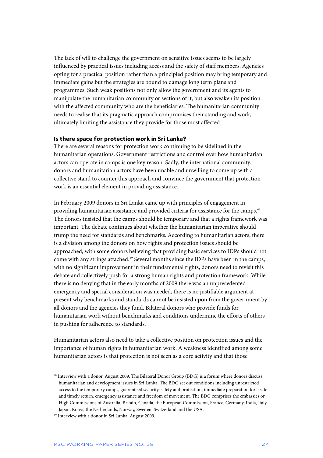The lack of will to challenge the government on sensitive issues seems to be largely influenced by practical issues including access and the safety of staff members. Agencies opting for a practical position rather than a principled position may bring temporary and immediate gains but the strategies are bound to damage long term plans and programmes. Such weak positions not only allow the government and its agents to manipulate the humanitarian community or sections of it, but also weaken its position with the affected community who are the beneficiaries. The humanitarian community needs to realise that its pragmatic approach compromises their standing and work, ultimately limiting the assistance they provide for those most affected.

#### **Is there space for protection work in Sri Lanka?**

There are several reasons for protection work continuing to be sidelined in the humanitarian operations. Government restrictions and control over how humanitarian actors can operate in camps is one key reason. Sadly, the international community, donors and humanitarian actors have been unable and unwilling to come up with a collective stand to counter this approach and convince the government that protection work is an essential element in providing assistance.

In February 2009 donors in Sri Lanka came up with principles of engagement in providing humanitarian assistance and provided criteria for assistance for the camps.<sup>48</sup> The donors insisted that the camps should be temporary and that a rights framework was important. The debate continues about whether the humanitarian imperative should trump the need for standards and benchmarks. According to humanitarian actors, there is a division among the donors on how rights and protection issues should be approached, with some donors believing that providing basic services to IDPs should not come with any strings attached.<sup>49</sup> Several months since the IDPs have been in the camps, with no significant improvement in their fundamental rights, donors need to revisit this debate and collectively push for a strong human rights and protection framework. While there is no denying that in the early months of 2009 there was an unprecedented emergency and special consideration was needed, there is no justifiable argument at present why benchmarks and standards cannot be insisted upon from the government by all donors and the agencies they fund. Bilateral donors who provide funds for humanitarian work without benchmarks and conditions undermine the efforts of others in pushing for adherence to standards.

Humanitarian actors also need to take a collective position on protection issues and the importance of human rights in humanitarian work. A weakness identified among some humanitarian actors is that protection is not seen as a core activity and that those

<sup>48</sup> Interview with a donor, August 2009. The Bilateral Donor Group (BDG) is a forum where donors discuss humanitarian and development issues in Sri Lanka. The BDG set out conditions including unrestricted access to the temporary camps, guaranteed security, safety and protection, immediate preparation for a safe and timely return, emergency assistance and freedom of movement. The BDG comprises the embassies or High Commissions of Australia, Britain, Canada, the European Commission, France, Germany, India, Italy, Japan, Korea, the Netherlands, Norway, Sweden, Switzerland and the USA.

<sup>49</sup> Interview with a donor in Sri Lanka, August 2009.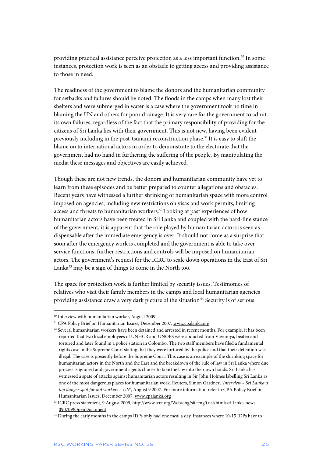providing practical assistance perceive protection as a less important function.50 In some instances, protection work is seen as an obstacle to getting access and providing assistance to those in need.

The readiness of the government to blame the donors and the humanitarian community for setbacks and failures should be noted. The floods in the camps when many lost their shelters and were submerged in water is a case where the government took no time in blaming the UN and others for poor drainage. It is very rare for the government to admit its own failures, regardless of the fact that the primary responsibility of providing for the citizens of Sri Lanka lies with their government. This is not new, having been evident previously including in the post-tsunami reconstruction phase.51 It is easy to shift the blame on to international actors in order to demonstrate to the electorate that the government had no hand in furthering the suffering of the people. By manipulating the media these messages and objectives are easily achieved.

Though these are not new trends, the donors and humanitarian community have yet to learn from these episodes and be better prepared to counter allegations and obstacles. Recent years have witnessed a further shrinking of humanitarian space with more control imposed on agencies, including new restrictions on visas and work permits, limiting access and threats to humanitarian workers.<sup>52</sup> Looking at past experiences of how humanitarian actors have been treated in Sri Lanka and coupled with the hard-line stance of the government, it is apparent that the role played by humanitarian actors is seen as dispensable after the immediate emergency is over. It should not come as a surprise that soon after the emergency work is completed and the government is able to take over service functions, further restrictions and controls will be imposed on humanitarian actors. The government's request for the ICRC to scale down operations in the East of Sri Lanka<sup>53</sup> may be a sign of things to come in the North too.

The space for protection work is further limited by security issues. Testimonies of relatives who visit their family members in the camps and local humanitarian agencies providing assistance draw a very dark picture of the situation<sup>54</sup> Security is of serious

<sup>50</sup> Interview with humanitarian worker, August 2009.

<sup>&</sup>lt;sup>51</sup> CPA Policy Brief on Humanitarian Issues, December 2007, www.cpalanka.org

<sup>52</sup> Several humanitarian workers have been detained and arrested in recent months. For example, it has been reported that two local employees of UNHCR and UNOPS were abducted from Vavuniya, beaten and tortured and later found in a police station in Colombo. The two staff members have filed a fundamental rights case in the Supreme Court stating that they were tortured by the police and that their detention was illegal. The case is presently before the Supreme Court. This case is an example of the shrinking space for humanitarian actors in the North and the East and the breakdown of the rule of law in Sri Lanka where due process is ignored and government agents choose to take the law into their own hands. Sri Lanka has witnessed a spate of attacks against humanitarian actors resulting in Sir John Holmes labelling Sri Lanka as one of the most dangerous places for humanitarian work. Reuters, Simon Gardner, '*Interview – Sri Lanka a top danger spot for aid workers – UN'*, August 9 2007. For more information refer to CPA Policy Brief on Humanitarian Issues, December 2007, www.cpalanka.org

<sup>53</sup> ICRC press statement, 9 August 2009, http://www.icrc.org/Web/eng/siteeng0.nsf/html/sri-lanka-news-090709!OpenDocument

<sup>54</sup> During the early months in the camps IDPs only had one meal a day. Instances where 10-15 IDPs have to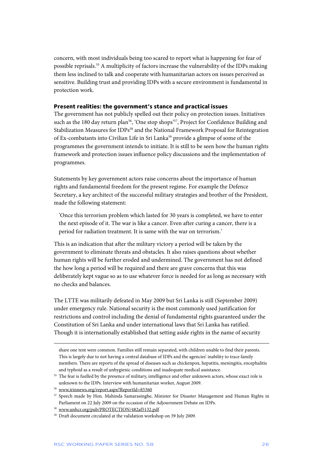concern, with most individuals being too scared to report what is happening for fear of possible reprisals.55 A multiplicity of factors increase the vulnerability of the IDPs making them less inclined to talk and cooperate with humanitarian actors on issues perceived as sensitive. Building trust and providing IDPs with a secure environment is fundamental in protection work.

#### **Present realities: the government's stance and practical issues**

The government has not publicly spelled out their policy on protection issues. Initiatives such as the 180 day return plan<sup>56</sup>, 'One stop shops'<sup>57</sup>, Project for Confidence Building and Stabilization Measures for IDPs<sup>58</sup> and the National Framework Proposal for Reintegration of Ex-combatants into Civilian Life in Sri Lanka<sup>59</sup> provide a glimpse of some of the programmes the government intends to initiate. It is still to be seen how the human rights framework and protection issues influence policy discussions and the implementation of programmes.

Statements by key government actors raise concerns about the importance of human rights and fundamental freedom for the present regime. For example the Defence Secretary, a key architect of the successful military strategies and brother of the President, made the following statement:

'Once this terrorism problem which lasted for 30 years is completed, we have to enter the next episode of it. The war is like a cancer. Even after curing a cancer, there is a period for radiation treatment. It is same with the war on terrorism.'

This is an indication that after the military victory a period will be taken by the government to eliminate threats and obstacles. It also raises questions about whether human rights will be further eroded and undermined. The government has not defined the how long a period will be required and there are grave concerns that this was deliberately kept vague so as to use whatever force is needed for as long as necessary with no checks and balances.

The LTTE was militarily defeated in May 2009 but Sri Lanka is still (September 2009) under emergency rule. National security is the most commonly used justification for restrictions and control including the denial of fundamental rights guaranteed under the Constitution of Sri Lanka and under international laws that Sri Lanka has ratified. Though it is internationally established that setting aside rights in the name of security

share one tent were common. Families still remain separated, with children unable to find their parents. This is largely due to not having a central database of IDPs and the agencies' inability to trace family members. There are reports of the spread of diseases such as chickenpox, hepatitis, meningitis, encephalitis and typhoid as a result of unhygienic conditions and inadequate medical assistance.

<sup>&</sup>lt;sup>55</sup> The fear is fuelled by the presence of military, intelligence and other unknown actors, whose exact role is unknown to the IDPs. Interview with humanitarian worker, August 2009.

<sup>56</sup> www.irinnews.org/report.aspx?ReportId=85360

<sup>57</sup> Speech made by Hon. Mahinda Samarasinghe, Minister for Disaster Management and Human Rights in Parliament on 22 July 2009 on the occasion of the Adjournment Debate on IDPs.

<sup>58</sup> www.unhcr.org/pub/PROTECTION/482af5132.pdf

<sup>59</sup> Draft document circulated at the validation workshop on 39 July 2009.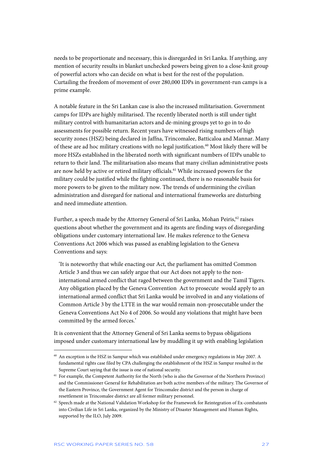needs to be proportionate and necessary, this is disregarded in Sri Lanka. If anything, any mention of security results in blanket unchecked powers being given to a close-knit group of powerful actors who can decide on what is best for the rest of the population. Curtailing the freedom of movement of over 280,000 IDPs in government-run camps is a prime example.

A notable feature in the Sri Lankan case is also the increased militarisation. Government camps for IDPs are highly militarised. The recently liberated north is still under tight military control with humanitarian actors and de-mining groups yet to go in to do assessments for possible return. Recent years have witnessed rising numbers of high security zones (HSZ) being declared in Jaffna, Trincomalee, Batticaloa and Mannar. Many of these are ad hoc military creations with no legal justification.<sup>60</sup> Most likely there will be more HSZs established in the liberated north with significant numbers of IDPs unable to return to their land. The militarisation also means that many civilian administrative posts are now held by active or retired military officials.<sup>61</sup> While increased powers for the military could be justified while the fighting continued, there is no reasonable basis for more powers to be given to the military now. The trends of undermining the civilian administration and disregard for national and international frameworks are disturbing and need immediate attention.

Further, a speech made by the Attorney General of Sri Lanka, Mohan Peiris,<sup>62</sup> raises questions about whether the government and its agents are finding ways of disregarding obligations under customary international law. He makes reference to the Geneva Conventions Act 2006 which was passed as enabling legislation to the Geneva Conventions and says:

'It is noteworthy that while enacting our Act, the parliament has omitted Common Article 3 and thus we can safely argue that our Act does not apply to the noninternational armed conflict that raged between the government and the Tamil Tigers. Any obligation placed by the Geneva Convention Act to prosecute would apply to an international armed conflict that Sri Lanka would be involved in and any violations of Common Article 3 by the LTTE in the war would remain non-prosecutable under the Geneva Conventions Act No 4 of 2006. So would any violations that might have been committed by the armed forces.'

It is convenient that the Attorney General of Sri Lanka seems to bypass obligations imposed under customary international law by muddling it up with enabling legislation

<sup>60</sup> An exception is the HSZ in Sampur which was established under emergency regulations in May 2007. A fundamental rights case filed by CPA challenging the establishment of the HSZ in Sampur resulted in the Supreme Court saying that the issue is one of national security.

<sup>&</sup>lt;sup>61</sup> For example, the Competent Authority for the North (who is also the Governor of the Northern Province) and the Commissioner General for Rehabilitation are both active members of the military. The Governor of the Eastern Province, the Government Agent for Trincomalee district and the person in charge of resettlement in Trincomalee district are all former military personnel.

 $62$  Speech made at the National Validation Workshop for the Framework for Reintegration of Ex-combatants into Civilian Life in Sri Lanka, organized by the Ministry of Disaster Management and Human Rights, supported by the ILO, July 2009.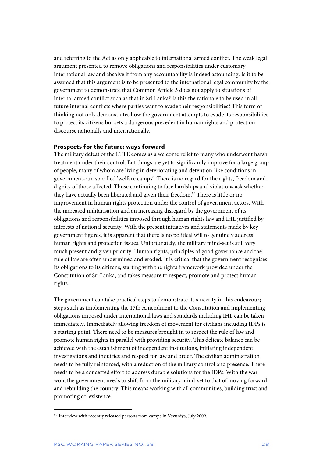and referring to the Act as only applicable to international armed conflict. The weak legal argument presented to remove obligations and responsibilities under customary international law and absolve it from any accountability is indeed astounding. Is it to be assumed that this argument is to be presented to the international legal community by the government to demonstrate that Common Article 3 does not apply to situations of internal armed conflict such as that in Sri Lanka? Is this the rationale to be used in all future internal conflicts where parties want to evade their responsibilities? This form of thinking not only demonstrates how the government attempts to evade its responsibilities to protect its citizens but sets a dangerous precedent in human rights and protection discourse nationally and internationally.

#### **Prospects for the future: ways forward**

The military defeat of the LTTE comes as a welcome relief to many who underwent harsh treatment under their control. But things are yet to significantly improve for a large group of people, many of whom are living in deteriorating and detention-like conditions in government-run so called 'welfare camps'. There is no regard for the rights, freedom and dignity of those affected. Those continuing to face hardships and violations ask whether they have actually been liberated and given their freedom.<sup>63</sup> There is little or no improvement in human rights protection under the control of government actors. With the increased militarisation and an increasing disregard by the government of its obligations and responsibilities imposed through human rights law and IHL justified by interests of national security. With the present initiatives and statements made by key government figures, it is apparent that there is no political will to genuinely address human rights and protection issues. Unfortunately, the military mind-set is still very much present and given priority. Human rights, principles of good governance and the rule of law are often undermined and eroded. It is critical that the government recognises its obligations to its citizens, starting with the rights framework provided under the Constitution of Sri Lanka, and takes measure to respect, promote and protect human rights.

The government can take practical steps to demonstrate its sincerity in this endeavour; steps such as implementing the 17th Amendment to the Constitution and implementing obligations imposed under international laws and standards including IHL can be taken immediately. Immediately allowing freedom of movement for civilians including IDPs is a starting point. There need to be measures brought in to respect the rule of law and promote human rights in parallel with providing security. This delicate balance can be achieved with the establishment of independent institutions, initiating independent investigations and inquiries and respect for law and order. The civilian administration needs to be fully reinforced, with a reduction of the military control and presence. There needs to be a concerted effort to address durable solutions for the IDPs. With the war won, the government needs to shift from the military mind-set to that of moving forward and rebuilding the country. This means working with all communities, building trust and promoting co-existence.

<sup>&</sup>lt;sup>63</sup> Interview with recently released persons from camps in Vavuniya, July 2009.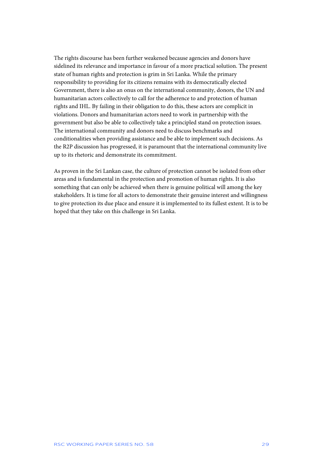The rights discourse has been further weakened because agencies and donors have sidelined its relevance and importance in favour of a more practical solution. The present state of human rights and protection is grim in Sri Lanka. While the primary responsibility to providing for its citizens remains with its democratically elected Government, there is also an onus on the international community, donors, the UN and humanitarian actors collectively to call for the adherence to and protection of human rights and IHL. By failing in their obligation to do this, these actors are complicit in violations. Donors and humanitarian actors need to work in partnership with the government but also be able to collectively take a principled stand on protection issues. The international community and donors need to discuss benchmarks and conditionalities when providing assistance and be able to implement such decisions. As the R2P discussion has progressed, it is paramount that the international community live up to its rhetoric and demonstrate its commitment.

As proven in the Sri Lankan case, the culture of protection cannot be isolated from other areas and is fundamental in the protection and promotion of human rights. It is also something that can only be achieved when there is genuine political will among the key stakeholders. It is time for all actors to demonstrate their genuine interest and willingness to give protection its due place and ensure it is implemented to its fullest extent. It is to be hoped that they take on this challenge in Sri Lanka.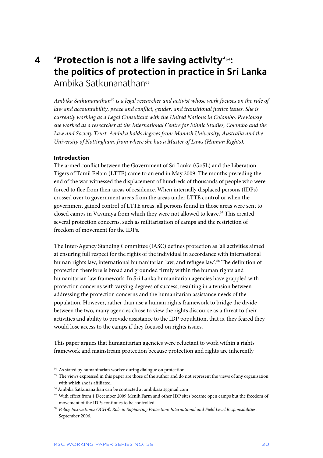# **4 'Protection is not a life saving activity'**64**: the politics of protection in practice in Sri Lanka**  Ambika Satkunanathan<sup>65</sup>

*Ambika Satkunanathan66 is a legal researcher and activist whose work focuses on the rule of law and accountability, peace and conflict, gender, and transitional justice issues. She is currently working as a Legal Consultant with the United Nations in Colombo. Previously she worked as a researcher at the International Centre for Ethnic Studies, Colombo and the Law and Society Trust. Ambika holds degrees from Monash University, Australia and the University of Nottingham, from where she has a Master of Laws (Human Rights).* 

#### **Introduction**

j

The armed conflict between the Government of Sri Lanka (GoSL) and the Liberation Tigers of Tamil Eelam (LTTE) came to an end in May 2009. The months preceding the end of the war witnessed the displacement of hundreds of thousands of people who were forced to flee from their areas of residence. When internally displaced persons (IDPs) crossed over to government areas from the areas under LTTE control or when the government gained control of LTTE areas, all persons found in those areas were sent to closed camps in Vavuniya from which they were not allowed to leave.<sup>67</sup> This created several protection concerns, such as militarisation of camps and the restriction of freedom of movement for the IDPs.

The Inter-Agency Standing Committee (IASC) defines protection as 'all activities aimed at ensuring full respect for the rights of the individual in accordance with international human rights law, international humanitarian law, and refugee law'.<sup>68</sup> The definition of protection therefore is broad and grounded firmly within the human rights and humanitarian law framework. In Sri Lanka humanitarian agencies have grappled with protection concerns with varying degrees of success, resulting in a tension between addressing the protection concerns and the humanitarian assistance needs of the population. However, rather than use a human rights framework to bridge the divide between the two, many agencies chose to view the rights discourse as a threat to their activities and ability to provide assistance to the IDP population, that is, they feared they would lose access to the camps if they focused on rights issues.

This paper argues that humanitarian agencies were reluctant to work within a rights framework and mainstream protection because protection and rights are inherently

 $64$  As stated by humanitarian worker during dialogue on protection.

<sup>&</sup>lt;sup>65</sup> The views expressed in this paper are those of the author and do not represent the views of any organisation with which she is affiliated.

<sup>66</sup> Ambika Satkunanathan can be contacted at ambikasat@gmail.com

<sup>67</sup> With effect from 1 December 2009 Menik Farm and other IDP sites became open camps but the freedom of movement of the IDPs continues to be controlled.

<sup>68</sup> *Policy Instructions: OCHA's Role in Supporting Protection: International and Field Level Responsibilities*, September 2006.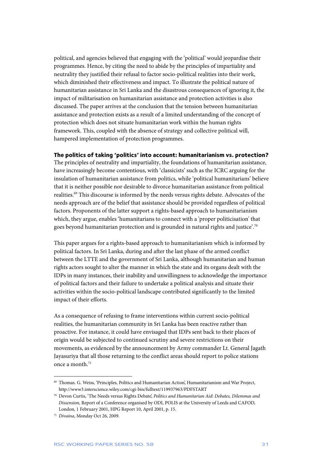political, and agencies believed that engaging with the 'political' would jeopardise their programmes. Hence, by citing the need to abide by the principles of impartiality and neutrality they justified their refusal to factor socio-political realities into their work, which diminished their effectiveness and impact. To illustrate the political nature of humanitarian assistance in Sri Lanka and the disastrous consequences of ignoring it, the impact of militarisation on humanitarian assistance and protection activities is also discussed. The paper arrives at the conclusion that the tension between humanitarian assistance and protection exists as a result of a limited understanding of the concept of protection which does not situate humanitarian work within the human rights framework. This, coupled with the absence of strategy and collective political will, hampered implementation of protection programmes.

### **The politics of taking 'politics' into account: humanitarianism vs. protection?**

The principles of neutrality and impartiality, the foundations of humanitarian assistance, have increasingly become contentious, with 'classicists' such as the ICRC arguing for the insulation of humanitarian assistance from politics, while 'political humanitarians' believe that it is neither possible nor desirable to divorce humanitarian assistance from political realities.69 This discourse is informed by the needs versus rights debate. Advocates of the needs approach are of the belief that assistance should be provided regardless of political factors. Proponents of the latter support a rights-based approach to humanitarianism which, they argue, enables 'humanitarians to connect with a 'proper politicisation' that goes beyond humanitarian protection and is grounded in natural rights and justice'.70

This paper argues for a rights-based approach to humanitarianism which is informed by political factors. In Sri Lanka, during and after the last phase of the armed conflict between the LTTE and the government of Sri Lanka, although humanitarian and human rights actors sought to alter the manner in which the state and its organs dealt with the IDPs in many instances, their inability and unwillingness to acknowledge the importance of political factors and their failure to undertake a political analysis and situate their activities within the socio-political landscape contributed significantly to the limited impact of their efforts.

As a consequence of refusing to frame interventions within current socio-political realities, the humanitarian community in Sri Lanka has been reactive rather than proactive. For instance, it could have envisaged that IDPs sent back to their places of origin would be subjected to continued scrutiny and severe restrictions on their movements, as evidenced by the announcement by Army commander Lt. General Jagath Jayasuriya that all those returning to the conflict areas should report to police stations once a month.71

<sup>69</sup> Thomas. G. Weiss, 'Principles, Politics and Humanitarian Action', Humanitarianism and War Project, http://www3.interscience.wiley.com/cgi-bin/fulltext/119937963/PDFSTART

<sup>70</sup> Devon Curtis, 'The Needs versus Rights Debate', *Politics and Humanitarian Aid: Debates, Dilemmas and Dissension,* Report of a Conference organised by ODI, POLIS at the University of Leeds and CAFOD, London, 1 February 2001, HPG Report 10, April 2001, p. 15.

<sup>71</sup> *Divaina*, Monday Oct 26, 2009.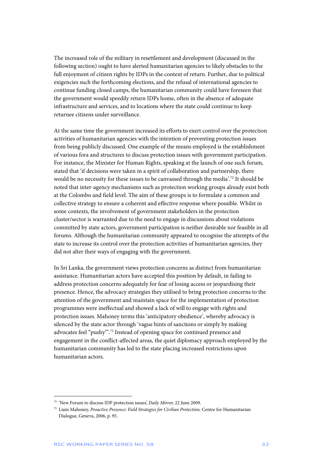The increased role of the military in resettlement and development (discussed in the following section) ought to have alerted humanitarian agencies to likely obstacles to the full enjoyment of citizen rights by IDPs in the context of return. Further, due to political exigencies such the forthcoming elections, and the refusal of international agencies to continue funding closed camps, the humanitarian community could have foreseen that the government would speedily return IDPs home, often in the absence of adequate infrastructure and services, and to locations where the state could continue to keep returnee citizens under surveillance.

At the same time the government increased its efforts to exert control over the protection activities of humanitarian agencies with the intention of preventing protection issues from being publicly discussed. One example of the means employed is the establishment of various fora and structures to discuss protection issues with government participation. For instance, the Minister for Human Rights, speaking at the launch of one such forum, stated that 'if decisions were taken in a spirit of collaboration and partnership, there would be no necessity for these issues to be canvassed through the media'.72 It should be noted that inter-agency mechanisms such as protection working groups already exist both at the Colombo and field level. The aim of these groups is to formulate a common and collective strategy to ensure a coherent and effective response where possible. Whilst in some contexts, the involvement of government stakeholders in the protection cluster/sector is warranted due to the need to engage in discussions about violations committed by state actors, government participation is neither desirable nor feasible in all forums. Although the humanitarian community appeared to recognise the attempts of the state to increase its control over the protection activities of humanitarian agencies, they did not alter their ways of engaging with the government.

In Sri Lanka, the government views protection concerns as distinct from humanitarian assistance. Humanitarian actors have accepted this position by default, in failing to address protection concerns adequately for fear of losing access or jeopardising their presence. Hence, the advocacy strategies they utilised to bring protection concerns to the attention of the government and maintain space for the implementation of protection programmes were ineffectual and showed a lack of will to engage with rights and protection issues. Mahoney terms this 'anticipatory obedience', whereby advocacy is silenced by the state actor through 'vague hints of sanctions or simply by making advocates feel "pushy".<sup>73</sup> Instead of opening space for continued presence and engagement in the conflict-affected areas, the quiet diplomacy approach employed by the humanitarian community has led to the state placing increased restrictions upon humanitarian actors.

<sup>72 &#</sup>x27;New Forum to discuss IDP protection issues', *Daily Mirror,* 22 June 2009.

<sup>73</sup> Liam Mahoney, *Proactive Presence: Field Strategies for Civilian Protection,* Centre for Humanitarian Dialogue, Geneva, 2006, p. 95.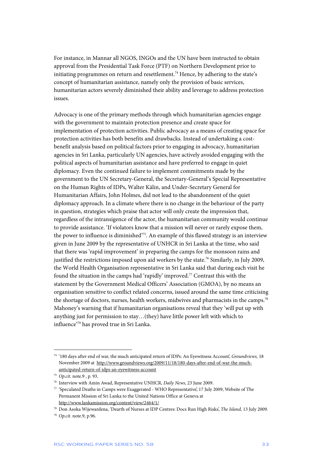For instance, in Mannar all NGOS, INGOs and the UN have been instructed to obtain approval from the Presidential Task Force (PTF) on Northern Development prior to initiating programmes on return and resettlement.<sup>74</sup> Hence, by adhering to the state's concept of humanitarian assistance, namely only the provision of basic services, humanitarian actors severely diminished their ability and leverage to address protection issues.

Advocacy is one of the primary methods through which humanitarian agencies engage with the government to maintain protection presence and create space for implementation of protection activities. Public advocacy as a means of creating space for protection activities has both benefits and drawbacks. Instead of undertaking a costbenefit analysis based on political factors prior to engaging in advocacy, humanitarian agencies in Sri Lanka, particularly UN agencies, have actively avoided engaging with the political aspects of humanitarian assistance and have preferred to engage in quiet diplomacy. Even the continued failure to implement commitments made by the government to the UN Secretary-General, the Secretary-General's Special Representative on the Human Rights of IDPs, Walter Kälin, and Under-Secretary General for Humanitarian Affairs, John Holmes, did not lead to the abandonment of the quiet diplomacy approach. In a climate where there is no change in the behaviour of the party in question, strategies which praise that actor will only create the impression that, regardless of the intransigence of the actor, the humanitarian community would continue to provide assistance. 'If violators know that a mission will never or rarely expose them, the power to influence is diminished'75. An example of this flawed strategy is an interview given in June 2009 by the representative of UNHCR in Sri Lanka at the time, who said that there was 'rapid improvement' in preparing the camps for the monsoon rains and justified the restrictions imposed upon aid workers by the state.<sup>76</sup> Similarly, in July 2009, the World Health Organisation representative in Sri Lanka said that during each visit he found the situation in the camps had 'rapidly' improved.77 Contrast this with the statement by the Government Medical Officers' Association (GMOA), by no means an organisation sensitive to conflict related concerns, issued around the same time criticising the shortage of doctors, nurses, health workers, midwives and pharmacists in the camps.<sup>78</sup> Mahoney's warning that if humanitarian organisations reveal that they 'will put up with anything just for permission to stay…(they) have little power left with which to influence'79 has proved true in Sri Lanka.

<sup>74 &#</sup>x27;180 days after end of war, the much anticipated return of IDPs: An Eyewitness Account', *Groundviews,* 18 November 2009 at http://www.groundviews.org/2009/11/18/180-days-after-end-of-war-the-muchanticipated-return-of-idps-an-eyewitness-account

<sup>75</sup> *Op.cit*. note.9 , p. 93.

<sup>76</sup> Interview with Amin Awad, Representative UNHCR, *Daily News*, 23 June 2009.

<sup>77 &#</sup>x27;Speculated Deaths in Camps were Exaggerated - WHO Representative', 17 July 2009, Website of The Permanent Mission of Sri Lanka to the United Nations Office at Geneva at http://www.lankamission.org/content/view/2464/1/

<sup>78</sup> Don Asoka Wijewardena, 'Dearth of Nurses at IDP Centres: Docs Run High Risks', *The Island,* 13 July 2009.

<sup>79</sup> *Op.cit.* note.9, p.96.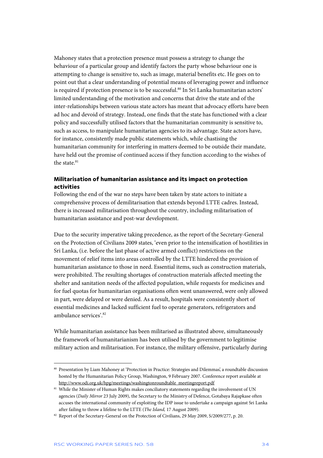Mahoney states that a protection presence must possess a strategy to change the behaviour of a particular group and identify factors the party whose behaviour one is attempting to change is sensitive to, such as image, material benefits etc. He goes on to point out that a clear understanding of potential means of leveraging power and influence is required if protection presence is to be successful.<sup>80</sup> In Sri Lanka humanitarian actors' limited understanding of the motivation and concerns that drive the state and of the inter-relationships between various state actors has meant that advocacy efforts have been ad hoc and devoid of strategy. Instead, one finds that the state has functioned with a clear policy and successfully utilised factors that the humanitarian community is sensitive to, such as access, to manipulate humanitarian agencies to its advantage. State actors have, for instance, consistently made public statements which, while chastising the humanitarian community for interfering in matters deemed to be outside their mandate, have held out the promise of continued access if they function according to the wishes of the state.<sup>81</sup>

## **Militarisation of humanitarian assistance and its impact on protection activities**

Following the end of the war no steps have been taken by state actors to initiate a comprehensive process of demilitarisation that extends beyond LTTE cadres. Instead, there is increased militarisation throughout the country, including militarisation of humanitarian assistance and post-war development.

Due to the security imperative taking precedence, as the report of the Secretary-General on the Protection of Civilians 2009 states, 'even prior to the intensification of hostilities in Sri Lanka, (i.e. before the last phase of active armed conflict) restrictions on the movement of relief items into areas controlled by the LTTE hindered the provision of humanitarian assistance to those in need. Essential items, such as construction materials, were prohibited. The resulting shortages of construction materials affected meeting the shelter and sanitation needs of the affected population, while requests for medicines and for fuel quotas for humanitarian organisations often went unanswered, were only allowed in part, were delayed or were denied. As a result, hospitals were consistently short of essential medicines and lacked sufficient fuel to operate generators, refrigerators and ambulance services' 82

While humanitarian assistance has been militarised as illustrated above, simultaneously the framework of humanitarianism has been utilised by the government to legitimise military action and militarisation. For instance, the military offensive, particularly during

<sup>80</sup> Presentation by Liam Mahoney at 'Protection in Practice: Strategies and Dilemmas', a roundtable discussion hosted by the Humanitarian Policy Group, Washington, 9 February 2007. Conference report available at http://www.odi.org.uk/hpg/meetings/washingtonroundtable\_meetingreport.pdf

<sup>81</sup> While the Minister of Human Rights makes conciliatory statements regarding the involvement of UN agencies (*Daily Mirror* 23 July 2009), the Secretary to the Ministry of Defence, Gotabaya Rajapkase often accuses the international community of exploiting the IDP issue to undertake a campaign against Sri Lanka after failing to throw a lifeline to the LTTE (*The Island,* 17 August 2009).

<sup>&</sup>lt;sup>82</sup> Report of the Secretary-General on the Protection of Civilians, 29 May 2009, S/2009/277, p. 20.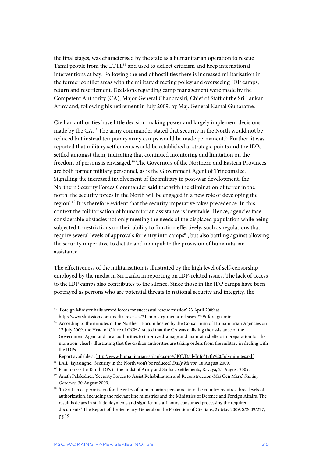the final stages, was characterised by the state as a humanitarian operation to rescue Tamil people from the LTTE<sup>83</sup> and used to deflect criticism and keep international interventions at bay. Following the end of hostilities there is increased militarisation in the former conflict areas with the military directing policy and overseeing IDP camps, return and resettlement. Decisions regarding camp management were made by the Competent Authority (CA), Major General Chandrasiri, Chief of Staff of the Sri Lankan Army and, following his retirement in July 2009, by Maj. General Kamal Gunaratne.

Civilian authorities have little decision making power and largely implement decisions made by the CA.84 The army commander stated that security in the North would not be reduced but instead temporary army camps would be made permanent.<sup>85</sup> Further, it was reported that military settlements would be established at strategic points and the IDPs settled amongst them, indicating that continued monitoring and limitation on the freedom of persons is envisaged.<sup>86</sup> The Governors of the Northern and Eastern Provinces are both former military personnel, as is the Government Agent of Trincomalee. Signalling the increased involvement of the military in post-war development, the Northern Security Forces Commander said that with the elimination of terror in the north 'the security forces in the North will be engaged in a new role of developing the region'.<sup>87</sup> It is therefore evident that the security imperative takes precedence. In this context the militarisation of humanitarian assistance is inevitable. Hence, agencies face considerable obstacles not only meeting the needs of the displaced population while being subjected to restrictions on their ability to function effectively, such as regulations that require several levels of approvals for entry into camps<sup>88</sup>, but also battling against allowing the security imperative to dictate and manipulate the provision of humanitarian assistance.

The effectiveness of the militarisation is illustrated by the high level of self-censorship employed by the media in Sri Lanka in reporting on IDP-related issues. The lack of access to the IDP camps also contributes to the silence. Since those in the IDP camps have been portrayed as persons who are potential threats to national security and integrity, the

j 83 'Foreign Minister hails armed forces for successful rescue mission' 23 April 2009 at http://www.slmission.com/media-releases/21-ministry-media-releases-/296-foreign-mini

 $^{84}$  According to the minutes of the Northern Forum hosted by the Consortium of Humanitarian Agencies on 17 July 2009, the Head of Office of OCHA stated that the CA was enlisting the assistance of the Government Agent and local authorities to improve drainage and maintain shelters in preparation for the monsoon, clearly illustrating that the civilian authorities are taking orders from the military in dealing with the IDPs.

Report available at http://www.humanitarian-srilanka.org/CKC/DailyInfo/17th%20Julyminutes.pdf

<sup>85</sup> J.A.L. Jayasinghe, 'Security in the North won't be reduced', *Daily Mirror,* 18 August 2009.

<sup>86</sup> Plan to resettle Tamil IDPs in the midst of Army and Sinhala settlements, Ravaya, 21 August 2009.

<sup>87</sup> Anath Palakidner, 'Security Forces to Assist Rehabilitation and Reconstruction-Maj Gen Mark', *Sunday Observer,* 30 August 2009.

<sup>88 &#</sup>x27;In Sri Lanka, permission for the entry of humanitarian personnel into the country requires three levels of authorization, including the relevant line ministries and the Ministries of Defence and Foreign Affairs. The result is delays in staff deployments and significant staff hours consumed processing the required documents.' The Report of the Secretary-General on the Protection of Civilians, 29 May 2009, S/2009/277, pg 19.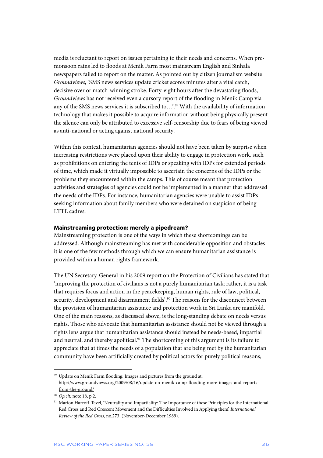media is reluctant to report on issues pertaining to their needs and concerns. When premonsoon rains led to floods at Menik Farm most mainstream English and Sinhala newspapers failed to report on the matter. As pointed out by citizen journalism website *Groundviews*, 'SMS news services update cricket scores minutes after a vital catch, decisive over or match-winning stroke. Forty-eight hours after the devastating floods, *Groundviews* has not received even a cursory report of the flooding in Menik Camp via any of the SMS news services it is subscribed to...'.<sup>89</sup> With the availability of information technology that makes it possible to acquire information without being physically present the silence can only be attributed to excessive self-censorship due to fears of being viewed as anti-national or acting against national security.

Within this context, humanitarian agencies should not have been taken by surprise when increasing restrictions were placed upon their ability to engage in protection work, such as prohibitions on entering the tents of IDPs or speaking with IDPs for extended periods of time, which made it virtually impossible to ascertain the concerns of the IDPs or the problems they encountered within the camps. This of course meant that protection activities and strategies of agencies could not be implemented in a manner that addressed the needs of the IDPs. For instance, humanitarian agencies were unable to assist IDPs seeking information about family members who were detained on suspicion of being LTTE cadres.

#### **Mainstreaming protection: merely a pipedream?**

Mainstreaming protection is one of the ways in which these shortcomings can be addressed. Although mainstreaming has met with considerable opposition and obstacles it is one of the few methods through which we can ensure humanitarian assistance is provided within a human rights framework.

The UN Secretary-General in his 2009 report on the Protection of Civilians has stated that 'improving the protection of civilians is not a purely humanitarian task; rather, it is a task that requires focus and action in the peacekeeping, human rights, rule of law, political, security, development and disarmament fields'.<sup>90</sup> The reasons for the disconnect between the provision of humanitarian assistance and protection work in Sri Lanka are manifold. One of the main reasons, as discussed above, is the long-standing debate on needs versus rights. Those who advocate that humanitarian assistance should not be viewed through a rights lens argue that humanitarian assistance should instead be needs-based, impartial and neutral, and thereby apolitical.<sup>91</sup> The shortcoming of this argument is its failure to appreciate that at times the needs of a population that are being met by the humanitarian community have been artificially created by political actors for purely political reasons;

<sup>89</sup> Update on Menik Farm flooding: Images and pictures from the ground at: http://www.groundviews.org/2009/08/16/update-on-menik-camp-flooding-more-images-and-reportsfrom-the-ground/

<sup>90</sup> *Op.cit.* note 18, p.2.

<sup>91</sup> Marion Harroff-Tavel, 'Neutrality and Impartiality: The Importance of these Principles for the International Red Cross and Red Crescent Movement and the Difficulties Involved in Applying them', *International Review of the Red Cross,* no.273, (November-December 1989).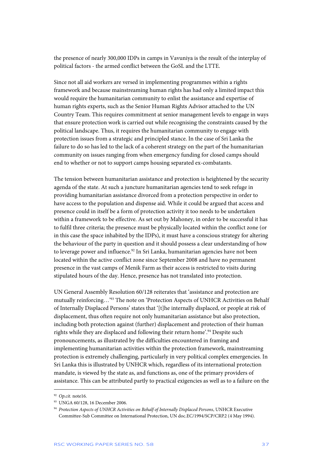the presence of nearly 300,000 IDPs in camps in Vavuniya is the result of the interplay of political factors - the armed conflict between the GoSL and the LTTE.

Since not all aid workers are versed in implementing programmes within a rights framework and because mainstreaming human rights has had only a limited impact this would require the humanitarian community to enlist the assistance and expertise of human rights experts, such as the Senior Human Rights Advisor attached to the UN Country Team. This requires commitment at senior management levels to engage in ways that ensure protection work is carried out while recognising the constraints caused by the political landscape. Thus, it requires the humanitarian community to engage with protection issues from a strategic and principled stance. In the case of Sri Lanka the failure to do so has led to the lack of a coherent strategy on the part of the humanitarian community on issues ranging from when emergency funding for closed camps should end to whether or not to support camps housing separated ex-combatants.

The tension between humanitarian assistance and protection is heightened by the security agenda of the state. At such a juncture humanitarian agencies tend to seek refuge in providing humanitarian assistance divorced from a protection perspective in order to have access to the population and dispense aid. While it could be argued that access and presence could in itself be a form of protection activity it too needs to be undertaken within a framework to be effective. As set out by Mahoney, in order to be successful it has to fulfil three criteria; the presence must be physically located within the conflict zone (or in this case the space inhabited by the IDPs), it must have a conscious strategy for altering the behaviour of the party in question and it should possess a clear understanding of how to leverage power and influence.<sup>92</sup> In Sri Lanka, humanitarian agencies have not been located within the active conflict zone since September 2008 and have no permanent presence in the vast camps of Menik Farm as their access is restricted to visits during stipulated hours of the day. Hence, presence has not translated into protection.

UN General Assembly Resolution 60/128 reiterates that 'assistance and protection are mutually reinforcing…'93 The note on 'Protection Aspects of UNHCR Activities on Behalf of Internally Displaced Persons' states that '[t]he internally displaced, or people at risk of displacement, thus often require not only humanitarian assistance but also protection, including both protection against (further) displacement and protection of their human rights while they are displaced and following their return home'.94 Despite such pronouncements, as illustrated by the difficulties encountered in framing and implementing humanitarian activities within the protection framework, mainstreaming protection is extremely challenging, particularly in very political complex emergencies. In Sri Lanka this is illustrated by UNHCR which, regardless of its international protection mandate, is viewed by the state as, and functions as, one of the primary providers of assistance. This can be attributed partly to practical exigencies as well as to a failure on the

<sup>92</sup> *Op.cit.* note16.

<sup>93</sup> UNGA 60/128, 16 December 2006.

<sup>94</sup> *Protection Aspects of UNHCR Activities on Behalf of Internally Displaced Persons*, UNHCR Executive Committee-Sub Committee on International Protection, UN doc.EC/1994/SCP/CRP.2 (4 May 1994).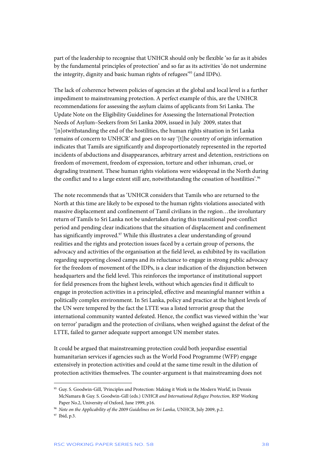part of the leadership to recognise that UNHCR should only be flexible 'so far as it abides by the fundamental principles of protection' and so far as its activities 'do not undermine the integrity, dignity and basic human rights of refugees'95 (and IDPs).

The lack of coherence between policies of agencies at the global and local level is a further impediment to mainstreaming protection. A perfect example of this, are the UNHCR recommendations for assessing the asylum claims of applicants from Sri Lanka. The Update Note on the Eligibility Guidelines for Assessing the International Protection Needs of Asylum–Seekers from Sri Lanka 2009, issued in July 2009, states that '[n]otwithstanding the end of the hostilities, the human rights situation in Sri Lanka remains of concern to UNHCR' and goes on to say '[t]he country of origin information indicates that Tamils are significantly and disproportionately represented in the reported incidents of abductions and disappearances, arbitrary arrest and detention, restrictions on freedom of movement, freedom of expression, torture and other inhuman, cruel, or degrading treatment. These human rights violations were widespread in the North during the conflict and to a large extent still are, notwithstanding the cessation of hostilities'.<sup>96</sup>

The note recommends that as 'UNHCR considers that Tamils who are returned to the North at this time are likely to be exposed to the human rights violations associated with massive displacement and confinement of Tamil civilians in the region…the involuntary return of Tamils to Sri Lanka not be undertaken during this transitional post-conflict period and pending clear indications that the situation of displacement and confinement has significantly improved.<sup>97</sup> While this illustrates a clear understanding of ground realities and the rights and protection issues faced by a certain group of persons, the advocacy and activities of the organisation at the field level, as exhibited by its vacillation regarding supporting closed camps and its reluctance to engage in strong public advocacy for the freedom of movement of the IDPs, is a clear indication of the disjunction between headquarters and the field level. This reinforces the importance of institutional support for field presences from the highest levels, without which agencies find it difficult to engage in protection activities in a principled, effective and meaningful manner within a politically complex environment. In Sri Lanka, policy and practice at the highest levels of the UN were tempered by the fact the LTTE was a listed terrorist group that the international community wanted defeated. Hence, the conflict was viewed within the 'war on terror' paradigm and the protection of civilians, when weighed against the defeat of the LTTE, failed to garner adequate support amongst UN member states.

It could be argued that mainstreaming protection could both jeopardise essential humanitarian services if agencies such as the World Food Programme (WFP) engage extensively in protection activities and could at the same time result in the dilution of protection activities themselves. The counter-argument is that mainstreaming does not

<sup>95</sup> Guy. S. Goodwin-Gill, 'Principles and Protection: Making it Work in the Modern World', in Dennis McNamara & Guy. S. Goodwin-Gill (eds.) *UNHCR and International Refugee Protection,* RSP Working Paper No.2, University of Oxford, June 1999, p16.

<sup>96</sup> *Note on the Applicability of the 2009 Guidelines on Sri Lanka,* UNHCR, July 2009, p.2.

<sup>97</sup> Ibid, p.3.